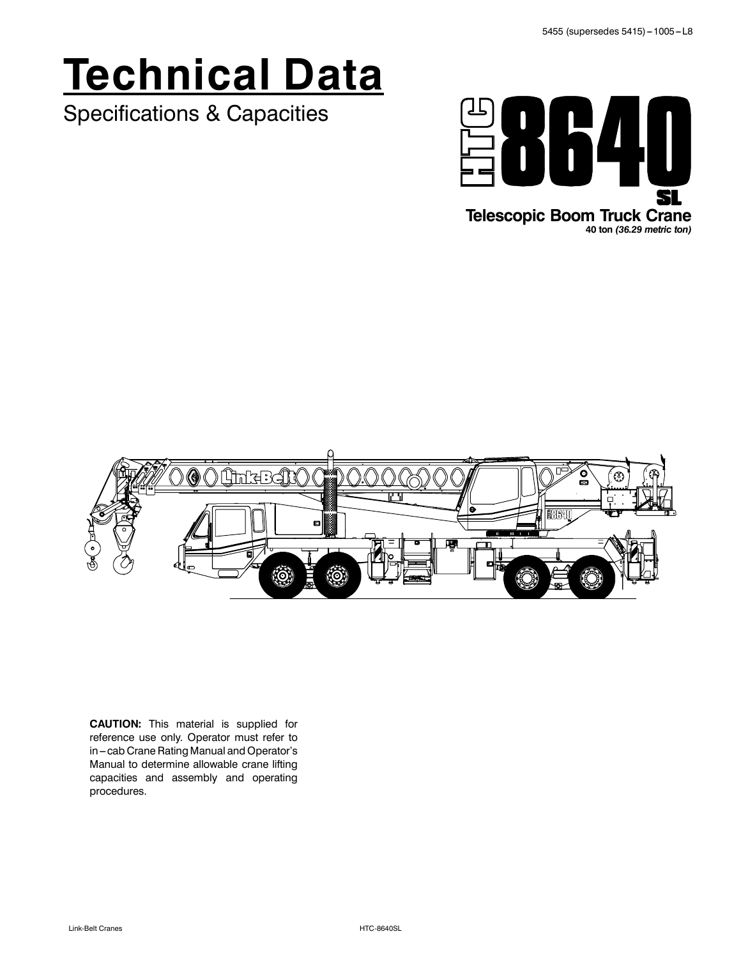# **Technical Data**

Specifications & Capacities





**CAUTION:** This material is supplied for reference use only. Operator must refer to in-cab Crane Rating Manual and Operator's Manual to determine allowable crane lifting capacities and assembly and operating procedures.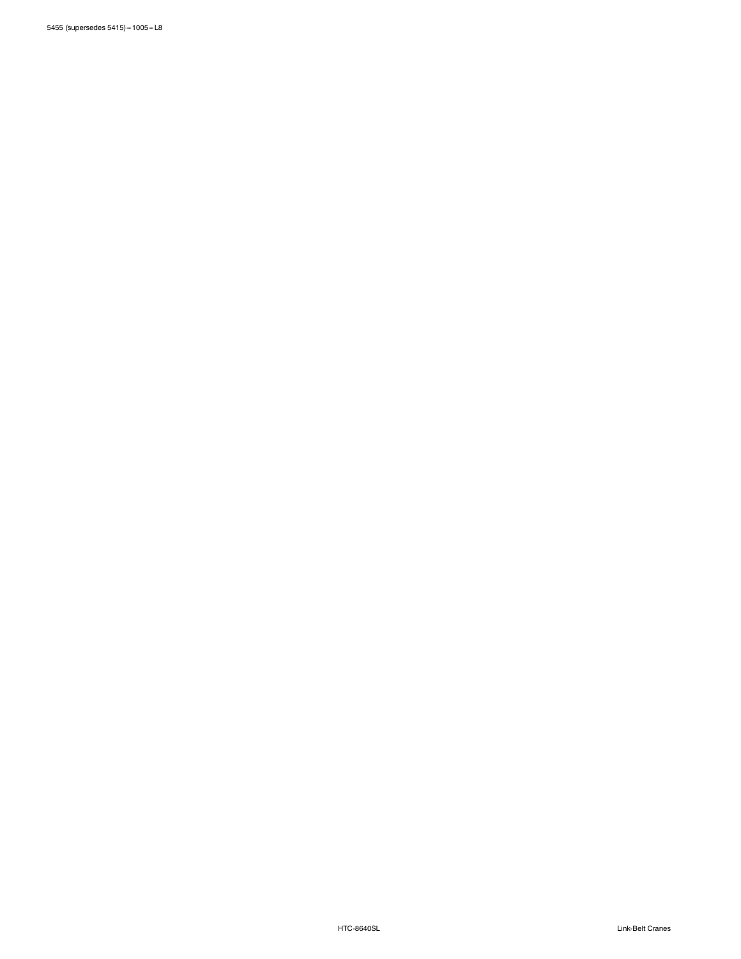5455 (supersedes 5415) - 1005 - L8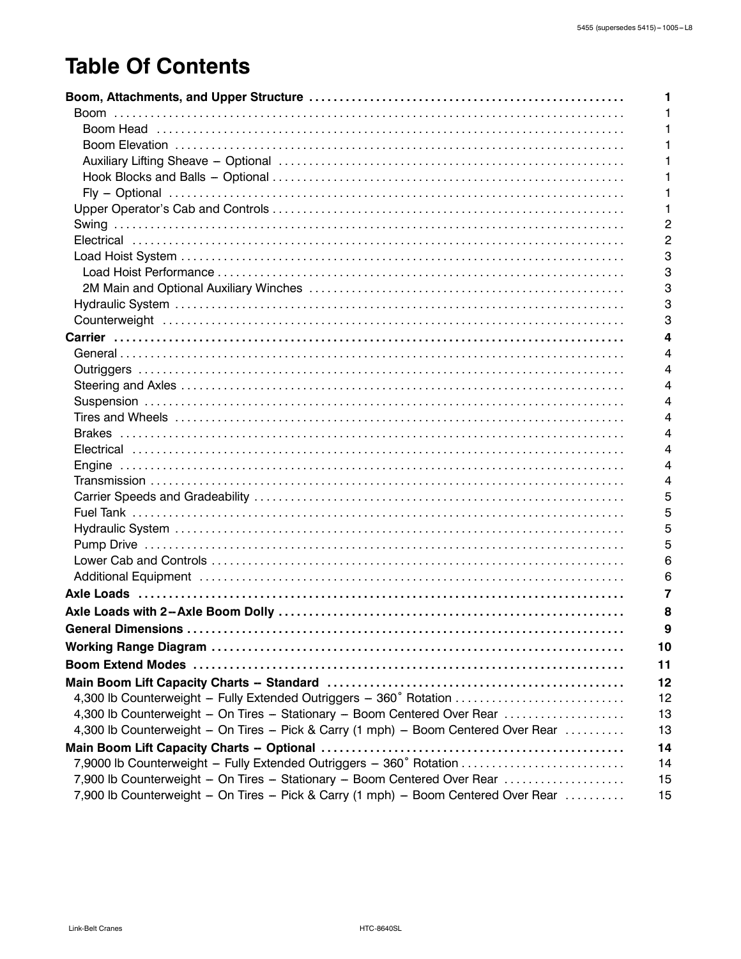# **Table Of Contents**

|                                                                                    | 1              |
|------------------------------------------------------------------------------------|----------------|
|                                                                                    | 1              |
|                                                                                    | 1              |
|                                                                                    | 1              |
|                                                                                    |                |
|                                                                                    | 1              |
|                                                                                    | 1              |
|                                                                                    | 1              |
|                                                                                    | $\overline{c}$ |
|                                                                                    | $\overline{c}$ |
|                                                                                    | 3              |
|                                                                                    | 3              |
|                                                                                    | 3              |
|                                                                                    | 3              |
|                                                                                    | 3              |
|                                                                                    | 4              |
|                                                                                    | 4              |
|                                                                                    | 4              |
|                                                                                    | 4              |
|                                                                                    | 4              |
|                                                                                    | 4              |
|                                                                                    | 4              |
|                                                                                    | 4              |
|                                                                                    | 4              |
|                                                                                    | 4              |
|                                                                                    | 5              |
|                                                                                    | 5              |
|                                                                                    | 5              |
|                                                                                    | 5              |
|                                                                                    | 6              |
|                                                                                    | 6              |
|                                                                                    | 7              |
|                                                                                    | 8              |
|                                                                                    | 9              |
|                                                                                    | 10             |
|                                                                                    | 11             |
|                                                                                    | 12             |
| 4,300 lb Counterweight - Fully Extended Outriggers - 360° Rotation                 | 12             |
| 4,300 lb Counterweight - On Tires - Stationary - Boom Centered Over Rear           | 13             |
| 4,300 lb Counterweight - On Tires - Pick & Carry (1 mph) - Boom Centered Over Rear | 13             |
|                                                                                    | 14             |
| 7,9000 lb Counterweight - Fully Extended Outriggers - 360° Rotation                | 14             |
| 7,900 lb Counterweight - On Tires - Stationary - Boom Centered Over Rear           | 15             |
| 7,900 lb Counterweight - On Tires - Pick & Carry (1 mph) - Boom Centered Over Rear | 15             |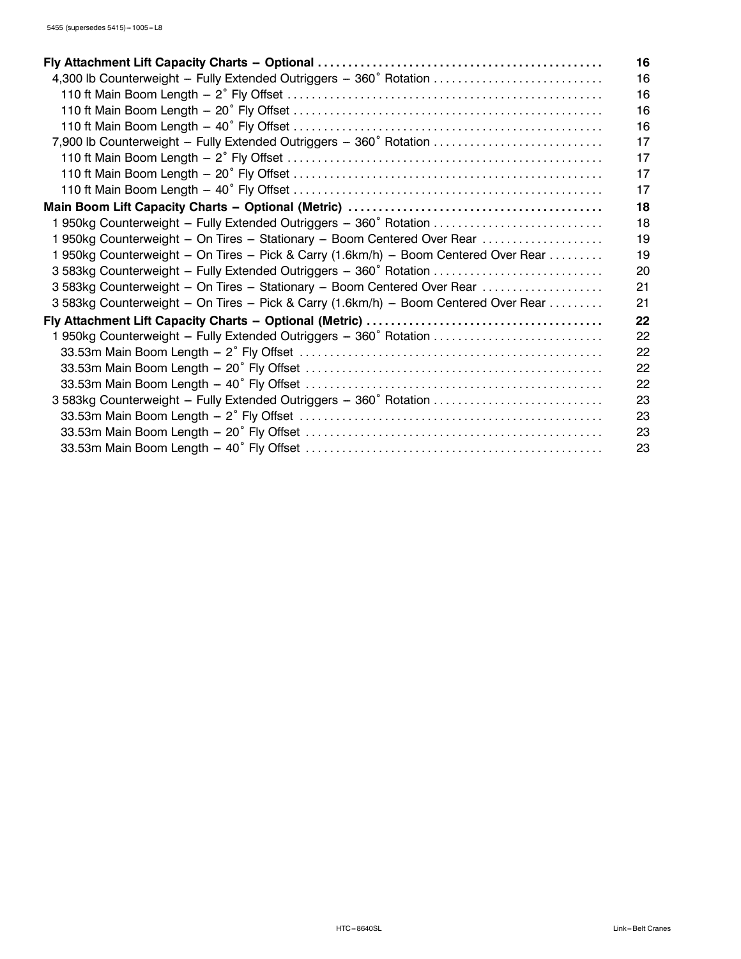|                                                                                     | 16 |
|-------------------------------------------------------------------------------------|----|
| 4,300 lb Counterweight - Fully Extended Outriggers - 360° Rotation                  | 16 |
|                                                                                     | 16 |
|                                                                                     | 16 |
|                                                                                     | 16 |
| 7,900 lb Counterweight - Fully Extended Outriggers - 360° Rotation                  | 17 |
|                                                                                     | 17 |
|                                                                                     | 17 |
|                                                                                     | 17 |
|                                                                                     | 18 |
| 1950kg Counterweight - Fully Extended Outriggers - 360° Rotation                    | 18 |
| 1950kg Counterweight - On Tires - Stationary - Boom Centered Over Rear              | 19 |
| 1950kg Counterweight - On Tires - Pick & Carry (1.6km/h) - Boom Centered Over Rear  | 19 |
| 3583kg Counterweight - Fully Extended Outriggers - 360° Rotation                    | 20 |
| 3 583kg Counterweight - On Tires - Stationary - Boom Centered Over Rear             | 21 |
| 3 583kg Counterweight - On Tires - Pick & Carry (1.6km/h) - Boom Centered Over Rear | 21 |
|                                                                                     | 22 |
| 1950kg Counterweight - Fully Extended Outriggers - 360° Rotation                    | 22 |
|                                                                                     | 22 |
|                                                                                     | 22 |
|                                                                                     | 22 |
| 3583kg Counterweight - Fully Extended Outriggers - 360° Rotation                    | 23 |
|                                                                                     | 23 |
|                                                                                     | 23 |
|                                                                                     | 23 |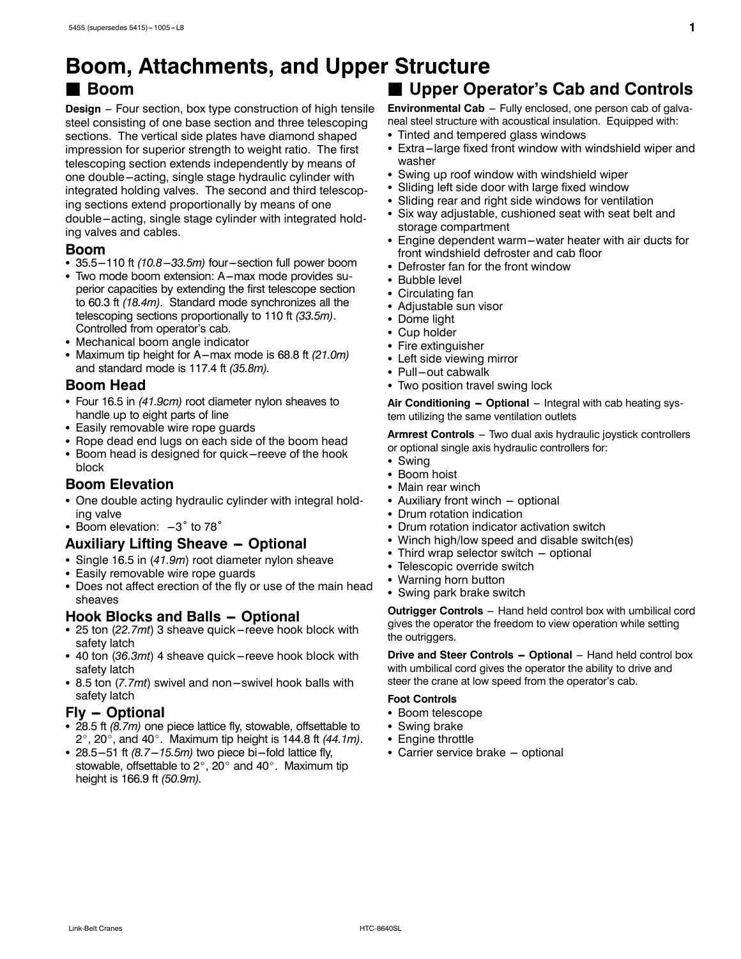# **Boom, Attachments, and Upper Structure**

### J **Boom**

**Design** - Four section, box type construction of high tensile steel consisting of one base section and three telescoping sections. The vertical side plates have diamond shaped impression for superior strength to weight ratio. The first telescoping section extends independently by means of one double-acting, single stage hydraulic cylinder with integrated holding valves. The second and third telescoping sections extend proportionally by means of one double-acting, single stage cylinder with integrated holding valves and cables.

#### **Boom**

- 35.5-110 ft *(10.8-33.5m)* four-section full power boom
- Two mode boom extension: A-max mode provides superior capacities by extending the first telescope section to 60.3 ft *(18.4m)*. Standard mode synchronizes all the telescoping sections proportionally to 110 ft *(33.5m)*. Controlled from operator's cab.
- Mechanical boom angle indicator
- Maximum tip height for A-max mode is 68.8 ft (21.0m) and standard mode is 117.4 ft *(35.8m).*

#### **Boom Head**

- Four 16.5 in (41.9cm) root diameter nylon sheaves to handle up to eight parts of line
- Easily removable wire rope quards
- Rope dead end lugs on each side of the boom head
- Boom head is designed for quick-reeve of the hook block

#### **Boom Elevation**

- One double acting hydraulic cylinder with integral holding valve
- $\bullet$  Boom elevation:  $-3°$  to 78 $^\circ$

#### **Auxiliary Lifting Sheave - Optional**

- Single 16.5 in (41.9m) root diameter nylon sheave
- Easily removable wire rope guards
- Does not affect erection of the fly or use of the main head sheaves

#### **Hook Blocks and Balls - Optional**

- 25 ton (22.7mt) 3 sheave quick-reeve hook block with safety latch
- 40 ton (36.3mt) 4 sheave quick-reeve hook block with safety latch
- 8.5 ton (7.7mt) swivel and non-swivel hook balls with safety latch

#### **Fly - Optional**

- 28.5 ft (8.7m) one piece lattice fly, stowable, offsettable to 2\_, 20\_, and 40\_. Maximum tip height is 144.8 ft *(44.1m)*.
- $\cdot$  28.5-51 ft  $(8.7-15.5m)$  two piece bi-fold lattice fly, stowable, offsettable to  $2^\circ$ , 20 $^\circ$  and 40 $^\circ$ . Maximum tip height is 166.9 ft *(50.9m).*

# **H** Upper Operator's Cab and Controls

**Environmental Cab** - Fully enclosed, one person cab of galvaneal steel structure with acoustical insulation. Equipped with:

- Tinted and tempered glass windows
- Extra-large fixed front window with windshield wiper and washer
- Swing up roof window with windshield wiper
- Sliding left side door with large fixed window
- Sliding rear and right side windows for ventilation
- Six way adjustable, cushioned seat with seat belt and storage compartment
- Engine dependent warm-water heater with air ducts for front windshield defroster and cab floor
- Defroster fan for the front window
- Bubble level
- Circulating fan
- Adjustable sun visor
- Dome light
- Cup holder
- Fire extinguisher
- Left side viewing mirror
- Pull-out cabwalk
- Two position travel swing lock

Air Conditioning - Optional - Integral with cab heating system utilizing the same ventilation outlets

**Armrest Controls** - Two dual axis hydraulic joystick controllers or optional single axis hydraulic controllers for:

- Swing
- Boom hoist
- Main rear winch
- $\bullet$  Auxiliary front winch  $-$  optional
- Drum rotation indication
- Drum rotation indicator activation switch
- Winch high/low speed and disable switch(es)
- $\bullet$  Third wrap selector switch  $-$  optional
- Telescopic override switch
- Warning horn button
- Swing park brake switch

**Outrigger Controls** - Hand held control box with umbilical cord gives the operator the freedom to view operation while setting the outriggers.

**Drive and Steer Controls - Optional** - Hand held control box with umbilical cord gives the operator the ability to drive and steer the crane at low speed from the operator's cab.

#### **Foot Controls**

- Boom telescope
- Swing brake
- Engine throttle
- Carrier service brake -- optional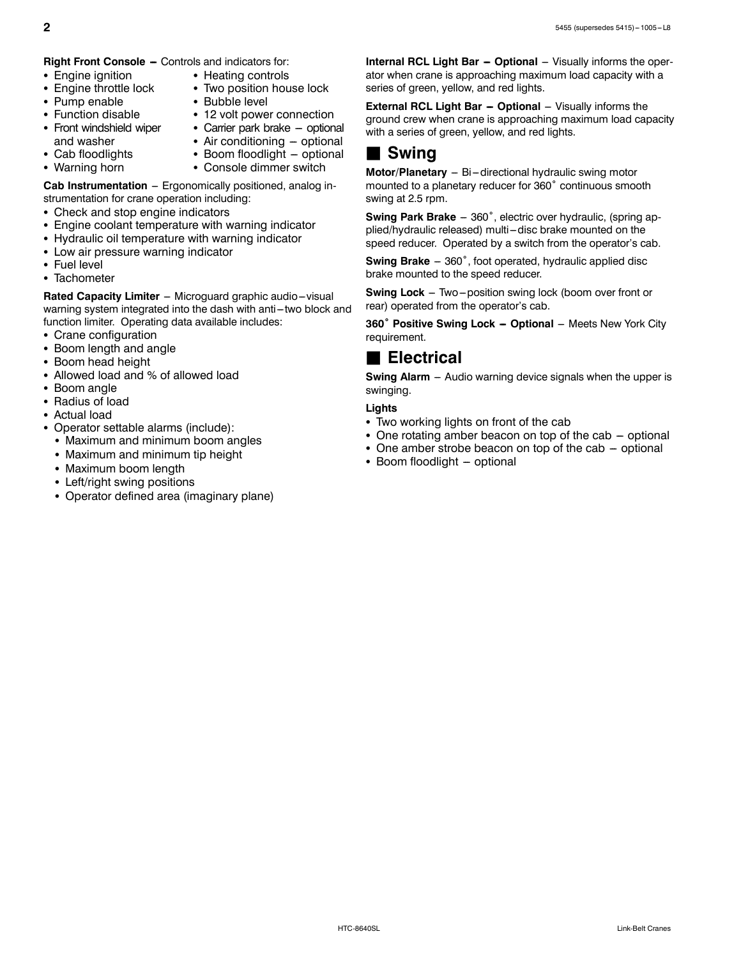#### **Right Front Console - Controls and indicators for:**

- Engine ignition Heating controls
- Engine throttle lock Two position house lock<br>• Pump enable Bubble level
- $\bullet$  Pump enable
- 
- Function disable 12 volt power connection<br>• Front windshield wiper Carrier park brake option and washer **Start Conditioning --**- optional
- 
- 
- Cab floodlights Boom floodlight --- optional

 $\bullet$  Carrier park brake  $-$  optional

• Warning horn • Console dimmer switch

**Cab Instrumentation** - Ergonomically positioned, analog instrumentation for crane operation including:

- Check and stop engine indicators
- Engine coolant temperature with warning indicator
- Hydraulic oil temperature with warning indicator
- Low air pressure warning indicator
- Fuel level
- Tachometer

**Rated Capacity Limiter** - Microguard graphic audio - visual warning system integrated into the dash with anti-two block and function limiter. Operating data available includes:

- Crane configuration
- Boom length and angle
- Boom head height
- Allowed load and % of allowed load
- Boom angle
- $\cdot$  Radius of load
- Actual load
- Operator settable alarms (include):
	- Maximum and minimum boom angles
	- Maximum and minimum tip height
	- Maximum boom length
	- Left/right swing positions
	- Operator defined area (imaginary plane)

**Internal RCL Light Bar - Optional** - Visually informs the operator when crane is approaching maximum load capacity with a series of green, yellow, and red lights.

**External RCL Light Bar - Optional** - Visually informs the ground crew when crane is approaching maximum load capacity with a series of green, yellow, and red lights.

#### J **Swing**

**Motor/Planetary** - Bi-directional hydraulic swing motor mounted to a planetary reducer for 360˚ continuous smooth swing at 2.5 rpm.

**Swing Park Brake** - 360°, electric over hydraulic, (spring applied/hydraulic released) multi-disc brake mounted on the speed reducer. Operated by a switch from the operator's cab.

**Swing Brake** - 360°, foot operated, hydraulic applied disc brake mounted to the speed reducer.

**Swing Lock** - Two-position swing lock (boom over front or rear) operated from the operator's cab.

**360° Positive Swing Lock - Optional** - Meets New York City requirement.

### **■ Electrical**

**Swing Alarm** - Audio warning device signals when the upper is swinging.

#### **Lights**

- Two working lights on front of the cab
- $\bullet$  One rotating amber beacon on top of the cab  $-$  optional
- One amber strobe beacon on top of the cab optional
- $\bullet$  Boom floodlight  $-$  optional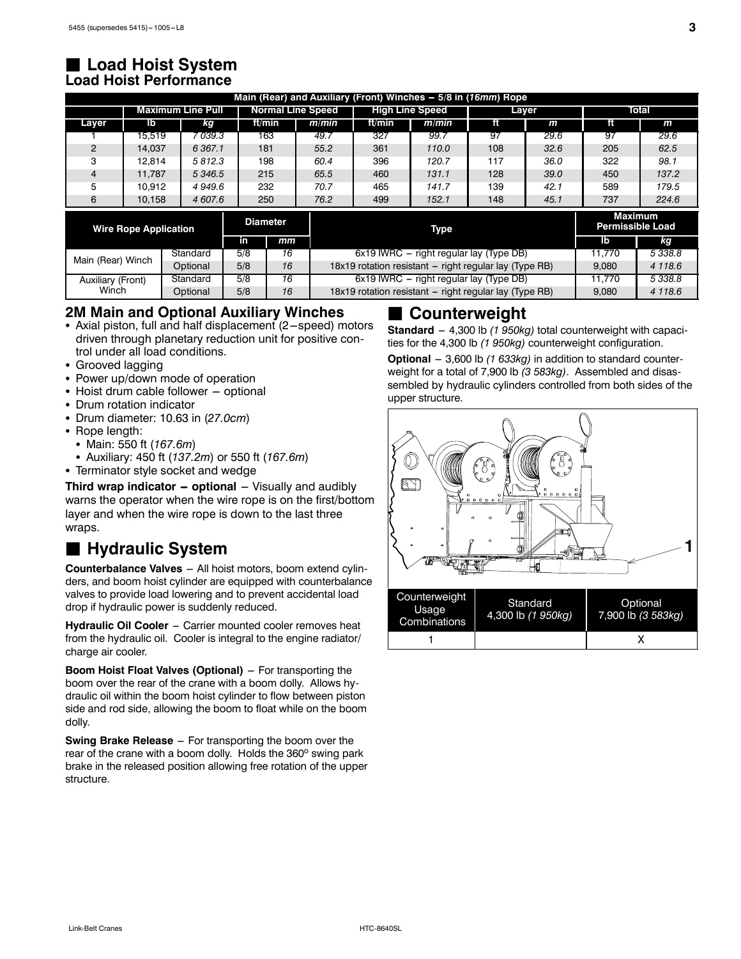#### ■ Load Hoist System **Load Hoist Performance**

|                   | Main (Rear) and Auxiliary (Front) Winches - 5/8 in (16mm) Rope |                          |  |                 |                          |       |                                                        |                                                        |     |                                           |        |           |  |  |
|-------------------|----------------------------------------------------------------|--------------------------|--|-----------------|--------------------------|-------|--------------------------------------------------------|--------------------------------------------------------|-----|-------------------------------------------|--------|-----------|--|--|
|                   |                                                                | <b>Maximum Line Pull</b> |  |                 | <b>Normal Line Speed</b> |       |                                                        | <b>High Line Speed</b><br>Layer                        |     |                                           | Total  |           |  |  |
| Layer             | lb                                                             | kg                       |  |                 | ft/min                   | m/min | ft/min                                                 | m/min                                                  | ft  | m                                         | ft     | m         |  |  |
|                   | 15,519                                                         | 7 039.3                  |  |                 | 163                      | 49.7  | 327                                                    | 99.7                                                   | 97  | 29.6                                      | 97     | 29.6      |  |  |
| $\mathfrak{p}$    | 14.037                                                         | 6 3 6 7.1                |  | 181             |                          | 55.2  | 361                                                    | 110.0                                                  | 108 | 32.6                                      | 205    | 62.5      |  |  |
| 3                 | 12.814                                                         | 5812.3                   |  |                 | 198                      | 60.4  | 396                                                    | 120.7                                                  | 117 | 36.0                                      | 322    | 98.1      |  |  |
| $\overline{4}$    | 11,787                                                         | 5 346.5                  |  | 215             |                          | 65.5  | 460                                                    | 131.1                                                  | 128 | 39.0                                      | 450    | 137.2     |  |  |
| 5                 | 10.912                                                         | 4949.6                   |  | 232             |                          | 70.7  | 465                                                    | 141.7                                                  | 139 | 42.1                                      | 589    | 179.5     |  |  |
| 6                 | 10,158                                                         | 4 607.6                  |  | 250             |                          | 76.2  | 499                                                    | 152.1                                                  | 148 | 45.1                                      | 737    | 224.6     |  |  |
|                   | <b>Wire Rope Application</b>                                   |                          |  | <b>Diameter</b> |                          |       |                                                        | <b>Type</b>                                            |     | <b>Maximum</b><br><b>Permissible Load</b> |        |           |  |  |
|                   |                                                                |                          |  | in              | mm                       |       |                                                        |                                                        |     |                                           | lb     | kg        |  |  |
| Main (Rear) Winch |                                                                | Standard                 |  | 5/8             | 16                       |       |                                                        | 6x19 IWRC - right regular lay (Type DB)                |     |                                           | 11.770 | 5 338.8   |  |  |
|                   |                                                                | Optional                 |  | 5/8             | 16                       |       | 18x19 rotation resistant - right regular lay (Type RB) |                                                        |     |                                           |        | 4 1 1 8.6 |  |  |
| Auxiliary (Front) |                                                                | Standard                 |  | 5/8             | 16                       |       |                                                        | 6x19 IWRC - right regular lay (Type DB)                |     |                                           | 11.770 | 5 338.8   |  |  |
| Winch             | Optional                                                       |                          |  | 5/8             | 16                       |       |                                                        | 18x19 rotation resistant - right regular lay (Type RB) |     |                                           | 9.080  | 4 1 1 8.6 |  |  |

#### **2M Main and Optional Auxiliary Winches**

- Axial piston, full and half displacement (2-speed) motors driven through planetary reduction unit for positive control under all load conditions.
- Grooved lagging
- Power up/down mode of operation
- $\bullet$  Hoist drum cable follower  $-$  optional
- Drum rotation indicator
- S Drum diameter: 10.63 in (*27.0cm*)
- Rope length:
	- Main: 550 ft (167.6m)
	- S Auxiliary: 450 ft (*137.2m*) or 550 ft (*167.6m*)
- Terminator style socket and wedge

**Third wrap indicator - optional** - Visually and audibly warns the operator when the wire rope is on the first/bottom layer and when the wire rope is down to the last three wraps.

# ■ Hydraulic System

**Counterbalance Valves** - All hoist motors, boom extend cylinders, and boom hoist cylinder are equipped with counterbalance valves to provide load lowering and to prevent accidental load drop if hydraulic power is suddenly reduced.

**Hydraulic Oil Cooler** - Carrier mounted cooler removes heat from the hydraulic oil. Cooler is integral to the engine radiator/ charge air cooler.

**Boom Hoist Float Valves (Optional)** - For transporting the boom over the rear of the crane with a boom dolly. Allows hydraulic oil within the boom hoist cylinder to flow between piston side and rod side, allowing the boom to float while on the boom dolly.

**Swing Brake Release** - For transporting the boom over the rear of the crane with a boom dolly. Holds the 360º swing park brake in the released position allowing free rotation of the upper structure.

### **Counterweight**

**Standard** - 4,300 lb (1 950kg) total counterweight with capacities for the 4,300 lb *(1 950kg)* counterweight configuration.

**Optional** -- 3,600 lb (1 633kg) in addition to standard counterweight for a total of 7,900 lb *(3 583kg)*. Assembled and disassembled by hydraulic cylinders controlled from both sides of the upper structure.

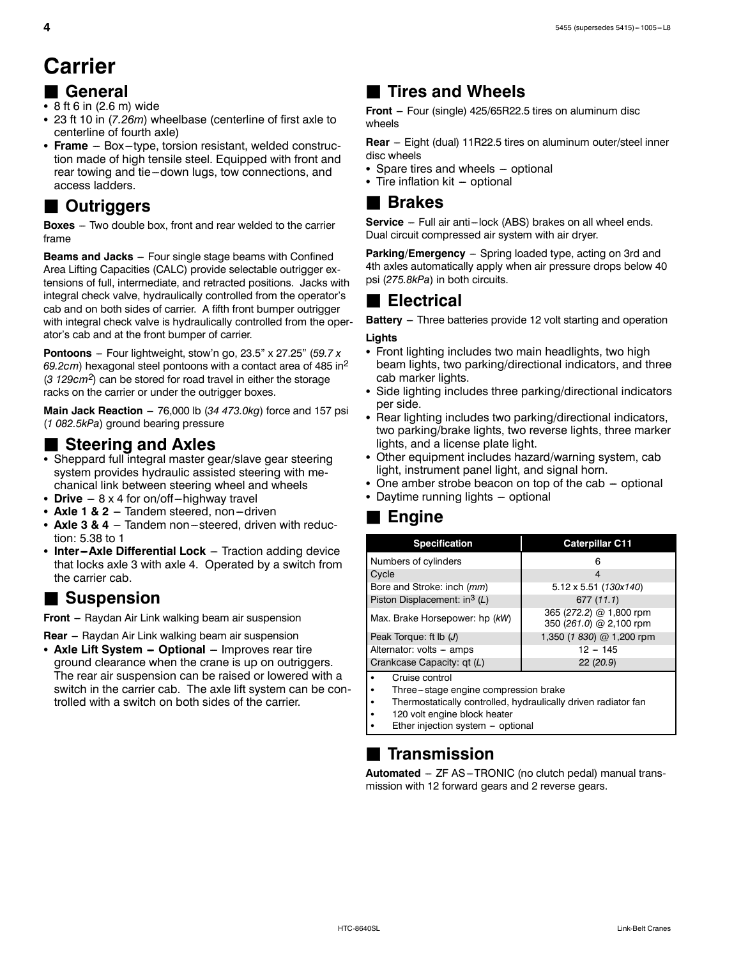# **Carrier**

#### J **General**

- $\bullet$  8 ft 6 in (2.6 m) wide
- 23 ft 10 in (7.26m) wheelbase (centerline of first axle to centerline of fourth axle)
- Frame Box-type, torsion resistant, welded construction made of high tensile steel. Equipped with front and rear towing and tie-down lugs, tow connections, and access ladders.

## **Dutriggers**

**Boxes** - Two double box, front and rear welded to the carrier frame

**Beams and Jacks** - Four single stage beams with Confined Area Lifting Capacities (CALC) provide selectable outrigger extensions of full, intermediate, and retracted positions. Jacks with integral check valve, hydraulically controlled from the operator's cab and on both sides of carrier. A fifth front bumper outrigger with integral check valve is hydraulically controlled from the operator's cab and at the front bumper of carrier.

**Pontoons** -- Four lightweight, stow'n go, 23.5" x 27.25" (59.7 x *69.2cm*) hexagonal steel pontoons with a contact area of 485 in2 (*3 129cm2*) can be stored for road travel in either the storage racks on the carrier or under the outrigger boxes.

**Main Jack Reaction** - 76,000 lb (34 473.0kg) force and 157 psi (*1 082.5kPa*) ground bearing pressure

### J **Steering and Axles**

- Sheppard full integral master gear/slave gear steering system provides hydraulic assisted steering with mechanical link between steering wheel and wheels
- Drive  $-8x4$  for on/off-highway travel
- $\cdot$  Axle 1 & 2  $-$  Tandem steered, non $-$ driven
- Axle 3 & 4 Tandem non -- steered, driven with reduction: 5.38 to 1
- Inter-Axle Differential Lock Traction adding device that locks axle 3 with axle 4. Operated by a switch from the carrier cab.

### J **Suspension**

**Front** - Raydan Air Link walking beam air suspension

**Rear** -- Raydan Air Link walking beam air suspension

• Axle Lift System - Optional -- Improves rear tire ground clearance when the crane is up on outriggers. The rear air suspension can be raised or lowered with a switch in the carrier cab. The axle lift system can be controlled with a switch on both sides of the carrier.

### ■ Tires and Wheels

**Front** - Four (single) 425/65R22.5 tires on aluminum disc wheels

**Rear** -- Eight (dual) 11R22.5 tires on aluminum outer/steel inner disc wheels

- $\cdot$  Spare tires and wheels  $-$  optional
- $\bullet$  Tire inflation kit  $-$  optional

### J **Brakes**

**Service** - Full air anti-lock (ABS) brakes on all wheel ends. Dual circuit compressed air system with air dryer.

Parking/Emergency - Spring loaded type, acting on 3rd and 4th axles automatically apply when air pressure drops below 40 psi (*275.8kPa*) in both circuits.

### **■ Electrical**

**Battery** - Three batteries provide 12 volt starting and operation

**Lights**

- Front lighting includes two main headlights, two high beam lights, two parking/directional indicators, and three cab marker lights.
- Side lighting includes three parking/directional indicators per side.
- Rear lighting includes two parking/directional indicators, two parking/brake lights, two reverse lights, three marker lights, and a license plate light.
- Other equipment includes hazard/warning system, cab light, instrument panel light, and signal horn.
- One amber strobe beacon on top of the cab  $-$  optional
- $\bullet$  Daytime running lights  $-$  optional

### J **Engine**

| <b>Specification</b>             | <b>Caterpillar C11</b>                             |  |  |  |  |  |
|----------------------------------|----------------------------------------------------|--|--|--|--|--|
| Numbers of cylinders             | 6                                                  |  |  |  |  |  |
| Cycle                            | 4                                                  |  |  |  |  |  |
| Bore and Stroke: inch (mm)       | 5.12 x 5.51 (130x140)                              |  |  |  |  |  |
| Piston Displacement: $in^3(L)$   | 677 (11.1)                                         |  |  |  |  |  |
| Max. Brake Horsepower: hp (kW)   | 365 (272.2) @ 1,800 rpm<br>350 (261.0) @ 2,100 rpm |  |  |  |  |  |
| Peak Torque: ft $ b \rangle$ (J) | 1,350 (1 830) @ 1,200 rpm                          |  |  |  |  |  |
| Alternator: volts - amps         | $12 - 145$                                         |  |  |  |  |  |
| Crankcase Capacity: qt (L)       | 22 (20.9)                                          |  |  |  |  |  |
| Cruise control                   |                                                    |  |  |  |  |  |
|                                  |                                                    |  |  |  |  |  |

- Three-stage engine compression brake
- Thermostatically controlled, hydraulically driven radiator fan
- 120 volt engine block heater Ether injection system  $-$  optional

### **Transmission**

**Automated** - ZF AS-TRONIC (no clutch pedal) manual transmission with 12 forward gears and 2 reverse gears.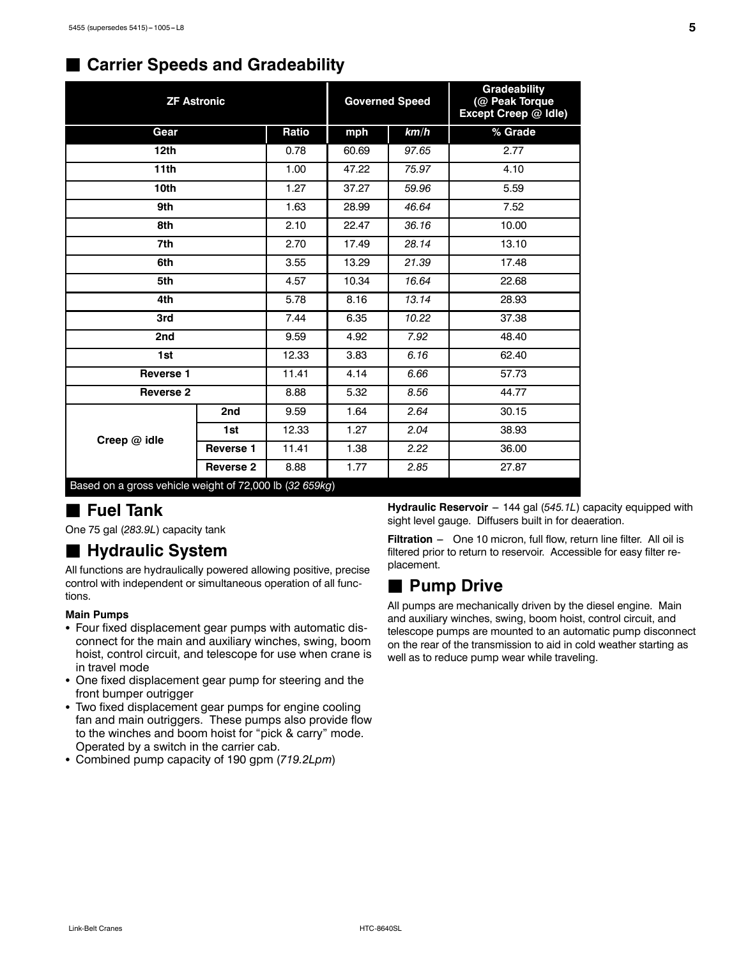### **Carrier Speeds and Gradeability**

| <b>ZF Astronic</b>                                      |                  |       |       | <b>Governed Speed</b> | Gradeability<br>(@ Peak Torque<br>Except Creep @ Idle) |
|---------------------------------------------------------|------------------|-------|-------|-----------------------|--------------------------------------------------------|
| Gear                                                    |                  |       |       | km/h                  | % Grade                                                |
| 12 <sub>th</sub>                                        |                  | 0.78  | 60.69 | 97.65                 | 2.77                                                   |
| 11th                                                    |                  | 1.00  | 47.22 | 75.97                 | 4.10                                                   |
| 10th                                                    |                  | 1.27  | 37.27 | 59.96                 | 5.59                                                   |
| 9th                                                     |                  | 1.63  | 28.99 | 46.64                 | 7.52                                                   |
| 8th                                                     | 2.10             | 22.47 | 36.16 | 10.00                 |                                                        |
| 7th                                                     | 2.70             | 17.49 | 28.14 | 13.10                 |                                                        |
| 6th                                                     | 3.55             | 13.29 | 21.39 | 17.48                 |                                                        |
| 5th                                                     |                  | 4.57  | 10.34 | 16.64                 | 22.68                                                  |
| 4th                                                     |                  | 5.78  | 8.16  | 13.14                 | 28.93                                                  |
| 3rd                                                     |                  | 7.44  | 6.35  | 10.22                 | 37.38                                                  |
| 2nd                                                     |                  | 9.59  | 4.92  | 7.92                  | 48.40                                                  |
| 1st                                                     |                  | 12.33 | 3.83  | 6.16                  | 62.40                                                  |
| <b>Reverse 1</b>                                        |                  | 11.41 | 4.14  | 6.66                  | 57.73                                                  |
| <b>Reverse 2</b>                                        |                  | 8.88  | 5.32  | 8.56                  | 44.77                                                  |
|                                                         | 2nd              | 9.59  | 1.64  | 2.64                  | 30.15                                                  |
| Creep $@$ idle                                          | 1st              | 12.33 | 1.27  | 2.04                  | 38.93                                                  |
|                                                         | Reverse 1        | 11.41 | 1.38  | 2.22                  | 36.00                                                  |
|                                                         | <b>Reverse 2</b> | 8.88  | 1.77  | 2.85                  | 27.87                                                  |
| Based on a gross vehicle weight of 72,000 lb (32 659kg) |                  |       |       |                       |                                                        |

### J **Fuel Tank**

One 75 gal (*283.9L*) capacity tank

### ■ Hydraulic System

All functions are hydraulically powered allowing positive, precise control with independent or simultaneous operation of all functions.

#### **Main Pumps**

- Four fixed displacement gear pumps with automatic disconnect for the main and auxiliary winches, swing, boom hoist, control circuit, and telescope for use when crane is in travel mode
- One fixed displacement gear pump for steering and the front bumper outrigger
- Two fixed displacement gear pumps for engine cooling fan and main outriggers. These pumps also provide flow to the winches and boom hoist for "pick & carry" mode. Operated by a switch in the carrier cab.
- Combined pump capacity of 190 gpm (719.2Lpm)

**Hydraulic Reservoir** - 144 gal (545.1L) capacity equipped with sight level gauge. Diffusers built in for deaeration.

Filtration - One 10 micron, full flow, return line filter. All oil is filtered prior to return to reservoir. Accessible for easy filter replacement.

### **Pump Drive**

All pumps are mechanically driven by the diesel engine. Main and auxiliary winches, swing, boom hoist, control circuit, and telescope pumps are mounted to an automatic pump disconnect on the rear of the transmission to aid in cold weather starting as well as to reduce pump wear while traveling.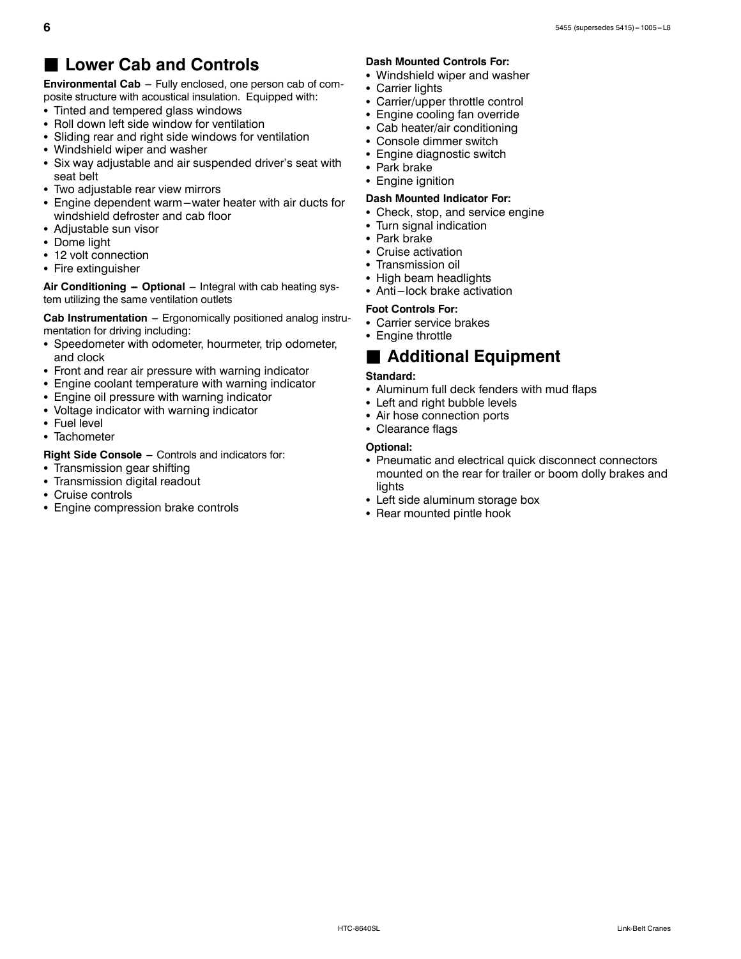### J **Lower Cab and Controls**

**Environmental Cab** - Fully enclosed, one person cab of composite structure with acoustical insulation. Equipped with:

- Tinted and tempered glass windows
- Roll down left side window for ventilation
- Sliding rear and right side windows for ventilation
- Windshield wiper and washer
- Six way adjustable and air suspended driver's seat with seat belt
- Two adiustable rear view mirrors
- Engine dependent warm-water heater with air ducts for windshield defroster and cab floor
- Adjustable sun visor
- Dome light
- 12 volt connection
- $\bullet$  Fire extinguisher

Air Conditioning - Optional - Integral with cab heating system utilizing the same ventilation outlets

**Cab Instrumentation** - Ergonomically positioned analog instrumentation for driving including:

- Speedometer with odometer, hourmeter, trip odometer, and clock
- Front and rear air pressure with warning indicator
- Engine coolant temperature with warning indicator
- Engine oil pressure with warning indicator
- Voltage indicator with warning indicator
- Fuel level
- $\bullet$  Tachometer

#### **Right Side Console** - Controls and indicators for:

- Transmission gear shifting
- Transmission digital readout
- Cruise controls
- Engine compression brake controls

#### **Dash Mounted Controls For:**

- Windshield wiper and washer
- Carrier lights
- Carrier/upper throttle control
- Engine cooling fan override
- Cab heater/air conditioning
- Console dimmer switch
- Engine diagnostic switch
- Park brake
- Engine ignition

#### **Dash Mounted Indicator For:**

- Check, stop, and service engine
- Turn signal indication
- Park brake
- Cruise activation
- Transmission oil
- High beam headlights
- Anti-lock brake activation

#### **Foot Controls For:**

- Carrier service brakes
- Engine throttle

#### **Additional Equipment**

#### **Standard:**

- Aluminum full deck fenders with mud flaps
- Left and right bubble levels
- Air hose connection ports
- Clearance flags

#### **Optional:**

- Pneumatic and electrical quick disconnect connectors mounted on the rear for trailer or boom dolly brakes and lights
- Left side aluminum storage box
- Rear mounted pintle hook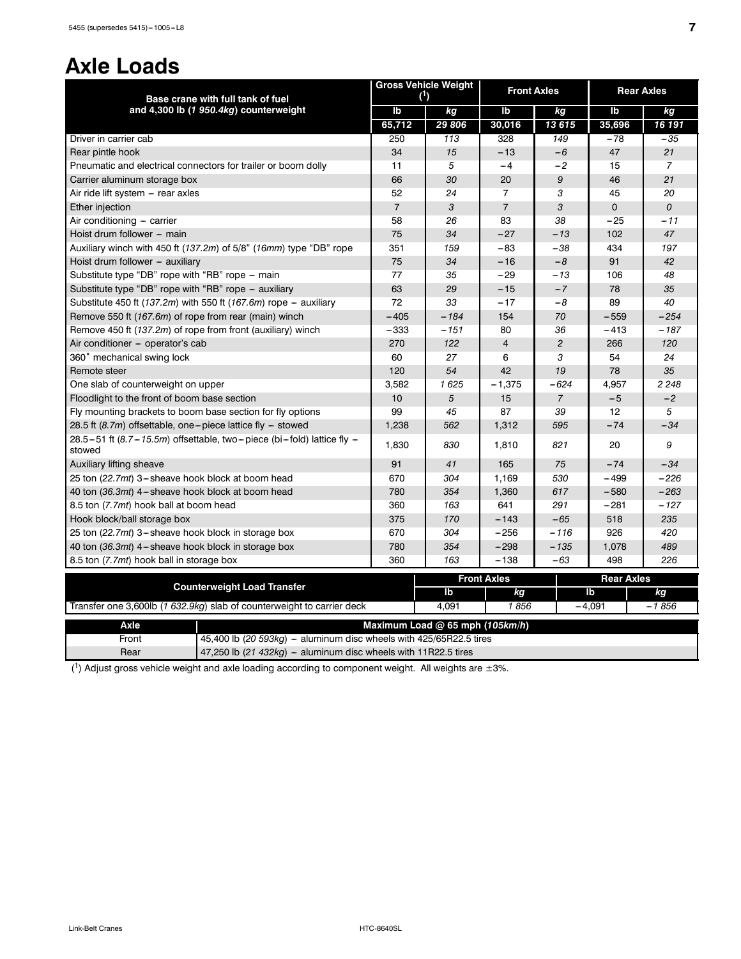# **Axle Loads**

| Base crane with full tank of fuel                                                         | (1)                               | <b>Gross Vehicle Weight</b> | <b>Front Axles</b> |                | <b>Rear Axles</b> |                |
|-------------------------------------------------------------------------------------------|-----------------------------------|-----------------------------|--------------------|----------------|-------------------|----------------|
| and 4,300 lb (1 950.4kg) counterweight                                                    | Ib                                | kg                          | Ib                 | kg             | Ib                | kg             |
|                                                                                           | 65,712                            | 29 806                      | 30,016             | 13615          | 35,696            | 16 191         |
| Driver in carrier cab                                                                     | 250                               | 113                         | 328                | 149            | -78               | -35            |
| Rear pintle hook                                                                          | 34                                | 15                          | $-13$              | $-6$           | 47                | 21             |
| Pneumatic and electrical connectors for trailer or boom dolly                             | 11                                | 5                           | $-4$               | $-2$           | 15                | $\overline{7}$ |
| Carrier aluminum storage box                                                              | 66                                | 30                          | 20                 | 9              | 46                | 21             |
| Air ride lift system - rear axles                                                         | 52                                | 24                          | $\overline{7}$     | 3              | 45                | 20             |
| Ether injection                                                                           | $\overline{7}$                    | 3                           | $\overline{7}$     | 3              | $\mathbf 0$       | 0              |
| Air conditioning - carrier                                                                | 58                                | 26                          | 83                 | 38             | $-25$             | $-11$          |
| Hoist drum follower - main                                                                | 75                                | 34                          | $-27$              | $-13$          | 102               | 47             |
| Auxiliary winch with 450 ft (137.2m) of $5/8$ " (16mm) type "DB" rope                     | 351                               | 159                         | $-83$              | $-38$          | 434               | 197            |
| Hoist drum follower - auxiliary                                                           | 75                                | 34                          | $-16$              | $-8$           | 91                | 42             |
| Substitute type "DB" rope with "RB" rope - main                                           | 77                                | 35                          | $-29$              | $-13$          | 106               | 48             |
| Substitute type "DB" rope with "RB" rope - auxiliary                                      | 63                                | 29                          | $-15$              | $-7$           | 78                | 35             |
| Substitute 450 ft (137.2m) with 550 ft (167.6m) rope - auxiliary                          | 72                                | 33                          | $-17$              | $-8$           | 89                | 40             |
| Remove 550 ft (167.6m) of rope from rear (main) winch                                     | $-405$                            | $-184$                      | 154                | 70             | $-559$            | $-254$         |
| Remove 450 ft (137.2m) of rope from front (auxiliary) winch                               | $-333$                            | $-151$                      | 80                 | 36             | $-413$            | $-187$         |
| Air conditioner - operator's cab                                                          | 270                               | 122                         | 4                  | $\overline{c}$ | 266               | 120            |
| 360° mechanical swing lock                                                                | 60                                | 27                          | 6                  | 3              | 54                | 24             |
| Remote steer                                                                              | 120                               | 54                          | 42                 | 19             | 78                | 35             |
| One slab of counterweight on upper                                                        | 3,582                             | 1625                        | $-1,375$           | $-624$         | 4,957             | 2 2 4 8        |
| Floodlight to the front of boom base section                                              | 10                                | 5                           | 15                 | $\overline{7}$ | $-5$              | $-2$           |
| Fly mounting brackets to boom base section for fly options                                | 99                                | 45                          | 87                 | 39             | 12                | 5              |
| 28.5 ft (8.7m) offsettable, one - piece lattice fly $-$ stowed                            | 1,238                             | 562                         | 1,312              | 595            | $-74$             | $-34$          |
| $28.5 - 51$ ft (8.7 – 15.5m) offsettable, two – piece (bi – fold) lattice fly –<br>stowed | 1,830                             | 830                         | 1,810              | 821            | 20                | 9              |
| Auxiliary lifting sheave                                                                  | 91                                | 41                          | 165                | 75             | $-74$             | $-34$          |
| 25 ton (22.7mt) 3-sheave hook block at boom head                                          | 670                               | 304                         | 1,169              | 530            | $-499$            | $-226$         |
| 40 ton (36.3mt) 4-sheave hook block at boom head                                          | 780                               | 354                         | 1,360              | 617            | $-580$            | $-263$         |
| 8.5 ton (7.7mt) hook ball at boom head                                                    | 360                               | 163                         | 641                | 291            | $-281$            | $-127$         |
| Hook block/ball storage box                                                               | 375                               | 170                         | $-143$             | $-65$          | 518               | 235            |
| 25 ton (22.7mt) 3-sheave hook block in storage box                                        | 670                               | 304                         | $-256$             | $-116$         | 926               | 420            |
| 40 ton (36.3mt) 4-sheave hook block in storage box                                        | 780                               | 354                         | $-298$             | $-135$         | 1,078             | 489            |
| 8.5 ton (7.7mt) hook ball in storage box                                                  | 360                               | 163                         | $-138$             | $-63$          | 498               | 226            |
| <b>Counterweight Load Transfer</b>                                                        |                                   |                             | <b>Front Axles</b> |                | <b>Rear Axles</b> |                |
|                                                                                           |                                   | lb                          | kg                 |                | lb                | kg             |
| Transfer one 3,600lb (1 632.9kg) slab of counterweight to carrier deck                    |                                   | 4,091                       | 1856               |                | $-4,091$          | $-1856$        |
| Axle                                                                                      | Maximum Load $@$ 65 mph (105km/h) |                             |                    |                |                   |                |
| 45,400 lb (20 593kg) - aluminum disc wheels with 425/65R22.5 tires<br>Front               |                                   |                             |                    |                |                   |                |
| 47,250 lb (21 432kg) - aluminum disc wheels with 11R22.5 tires<br>Rear                    |                                   |                             |                    |                |                   |                |

(1) Adjust gross vehicle weight and axle loading according to component weight. All weights are  $\pm 3\%$ .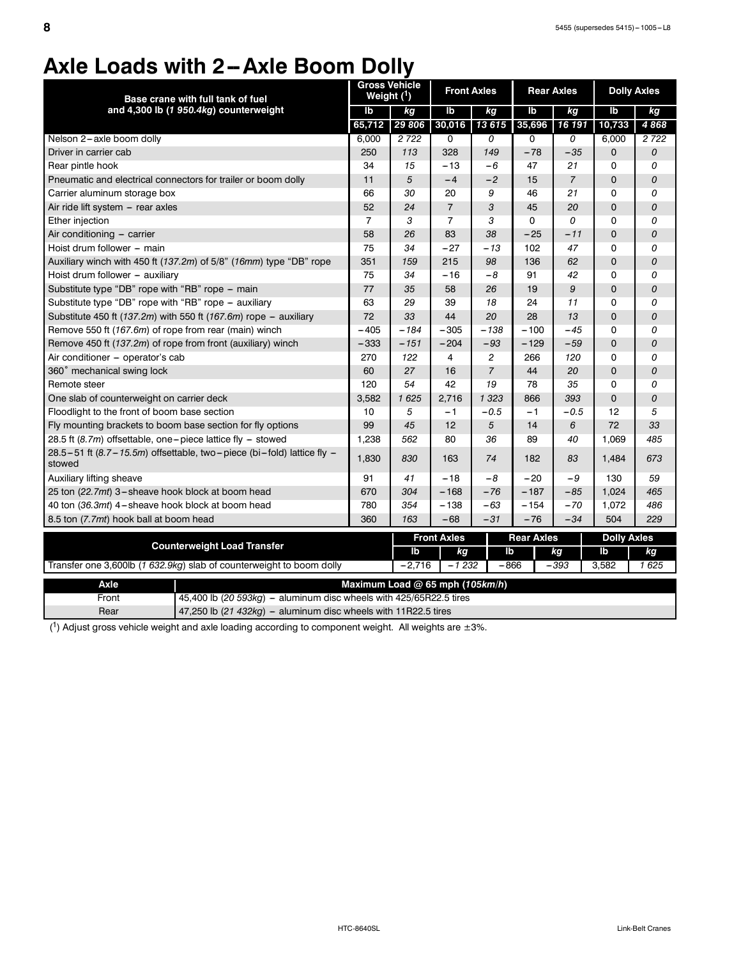|                                                                  | Base crane with full tank of fuel                                     | <b>Gross Vehicle</b><br>Weight $(1)$ |               | <b>Front Axles</b> |                |                   | <b>Rear Axles</b> | <b>Dolly Axles</b> |         |
|------------------------------------------------------------------|-----------------------------------------------------------------------|--------------------------------------|---------------|--------------------|----------------|-------------------|-------------------|--------------------|---------|
|                                                                  | and 4,300 lb (1 950.4kg) counterweight                                | lb                                   | kg            | lb                 | kg             | lb                | kg                | Ib                 | kg      |
|                                                                  |                                                                       |                                      | 65,712 29 806 | 30,016             | 13 615 35,696  |                   | 16 191            | 10,733             | 4868    |
| Nelson 2-axle boom dolly                                         |                                                                       | 6,000                                | 2 7 2 2       | 0                  | 0              | 0                 | 0                 | 6,000              | 2 7 2 2 |
| Driver in carrier cab                                            |                                                                       | 250                                  | 113           | 328                | 149            | $-78$             | $-35$             | $\mathbf 0$        | 0       |
| Rear pintle hook                                                 |                                                                       | 34                                   | 15            | $-13$              | $-6$           | 47                | 21                | 0                  | 0       |
|                                                                  | Pneumatic and electrical connectors for trailer or boom dolly         | 11                                   | 5             | $-4$               | $-2$           | 15                | $\overline{7}$    | $\mathbf 0$        | 0       |
| Carrier aluminum storage box                                     |                                                                       | 66                                   | 30            | 20                 | 9              | 46                | 21                | 0                  | 0       |
| Air ride lift system - rear axles                                |                                                                       | 52                                   | 24            | $\overline{7}$     | 3              | 45                | 20                | $\mathbf 0$        | 0       |
| Ether injection                                                  |                                                                       | $\overline{7}$                       | 3             | $\overline{7}$     | 3              | 0                 | 0                 | $\Omega$           | 0       |
| Air conditioning - carrier                                       |                                                                       | 58                                   | 26            | 83                 | 38             | $-25$             | $-11$             | $\Omega$           | 0       |
| Hoist drum follower - main                                       |                                                                       | 75                                   | 34            | $-27$              | $-13$          | 102               | 47                | $\mathbf 0$        | 0       |
|                                                                  | Auxiliary winch with 450 ft (137.2m) of 5/8" (16mm) type "DB" rope    | 351                                  | 159           | 215                | 98             | 136               | 62                | $\Omega$           | 0       |
| Hoist drum follower - auxiliary                                  |                                                                       | 75                                   | 34            | $-16$              | $-8$           | 91                | 42                | $\mathbf 0$        | 0       |
| Substitute type "DB" rope with "RB" rope - main                  |                                                                       | 77                                   | 35            | 58                 | 26             | 19                | 9                 | $\Omega$           | 0       |
| Substitute type "DB" rope with "RB" rope - auxiliary             | 63                                                                    | 29                                   | 39            | 18                 | 24             | 11                | $\mathbf 0$       | 0                  |         |
| Substitute 450 ft (137.2m) with 550 ft (167.6m) rope - auxiliary | 72                                                                    | 33                                   | 44            | 20                 | 28             | 13                | $\Omega$          | 0                  |         |
| Remove 550 ft (167.6m) of rope from rear (main) winch            |                                                                       | $-405$                               | $-184$        | $-305$             | $-138$         | $-100$            | $-45$             | $\mathbf 0$        | 0       |
| Remove 450 ft (137.2m) of rope from front (auxiliary) winch      |                                                                       | $-333$                               | $-151$        | $-204$             | $-93$          | $-129$            | $-59$             | $\mathbf 0$        | 0       |
| Air conditioner - operator's cab                                 |                                                                       | 270                                  | 122           | $\overline{4}$     | $\overline{c}$ | 266               | 120               | 0                  | 0       |
| 360° mechanical swing lock                                       |                                                                       | 60                                   | 27            | 16                 | $\overline{7}$ | 44                | 20                | $\mathbf 0$        | 0       |
| Remote steer                                                     |                                                                       | 120                                  | 54            | 42                 | 19             | 78                | 35                | 0                  | 0       |
| One slab of counterweight on carrier deck                        |                                                                       | 3,582                                | 1625          | 2,716              | 1323           | 866               | 393               | $\mathbf 0$        | 0       |
| Floodlight to the front of boom base section                     |                                                                       | 10                                   | 5             | $-1$               | $-0.5$         | $-1$              | $-0.5$            | 12                 | 5       |
| Fly mounting brackets to boom base section for fly options       |                                                                       | 99                                   | 45            | 12                 | 5              | 14                | 6                 | 72                 | 33      |
| 28.5 ft (8.7m) offsettable, one-piece lattice fly - stowed       |                                                                       | 1,238                                | 562           | 80                 | 36             | 89                | 40                | 1,069              | 485     |
| stowed                                                           | 28.5-51 ft (8.7-15.5m) offsettable, two-piece (bi-fold) lattice fly - | 1,830                                | 830           | 163                | 74             | 182               | 83                | 1,484              | 673     |
| Auxiliary lifting sheave                                         |                                                                       | 91                                   | 41            | $-18$              | -8             | $-20$             | $-9$              | 130                | 59      |
| 25 ton (22.7mt) 3-sheave hook block at boom head                 |                                                                       | 670                                  | 304           | $-168$             | $-76$          | $-187$            | $-85$             | 1,024              | 465     |
| 40 ton (36.3mt) 4-sheave hook block at boom head                 |                                                                       | 780                                  | 354           | $-138$             | $-63$          | $-154$            | $-70$             | 1,072              | 486     |
| 8.5 ton (7.7mt) hook ball at boom head                           |                                                                       | 360                                  | 163           | $-68$              | $-31$          | $-76$             | $-34$             | 504                | 229     |
|                                                                  |                                                                       |                                      |               | <b>Front Axles</b> |                | <b>Rear Axles</b> |                   | <b>Dolly Axles</b> |         |
| <b>Counterweight Load Transfer</b>                               |                                                                       | lb                                   | kg            | lb                 |                | kg                | lb                | kg                 |         |
|                                                                  | Transfer one 3,600lb (1 632.9kg) slab of counterweight to boom dolly  |                                      | $-2,716$      | $-1232$            | $-866$         |                   | $-393$            | 3,582              | 1625    |
| Axle                                                             |                                                                       | Maximum Load $@$ 65 mph (105km/h)    |               |                    |                |                   |                   |                    |         |
| Front                                                            | 45,400 lb (20 593kg) - aluminum disc wheels with 425/65R22.5 tires    |                                      |               |                    |                |                   |                   |                    |         |
| Rear                                                             | 47,250 lb (21 432kg) - aluminum disc wheels with 11R22.5 tires        |                                      |               |                    |                |                   |                   |                    |         |

 $(1)$  Adjust gross vehicle weight and axle loading according to component weight. All weights are  $\pm 3\%$ .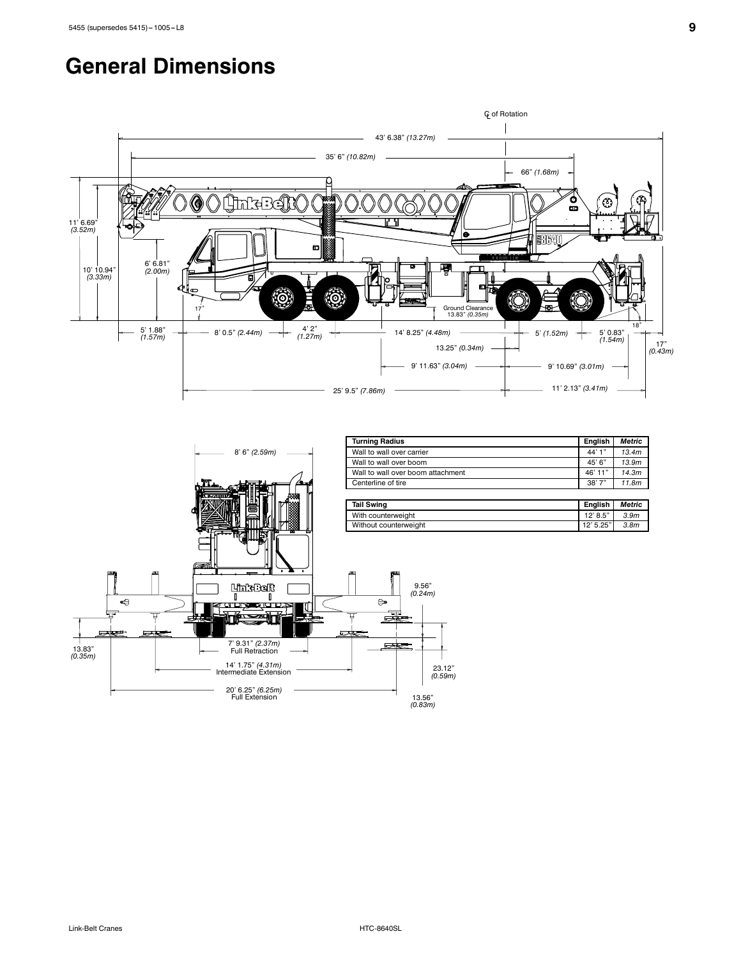# **General Dimensions**

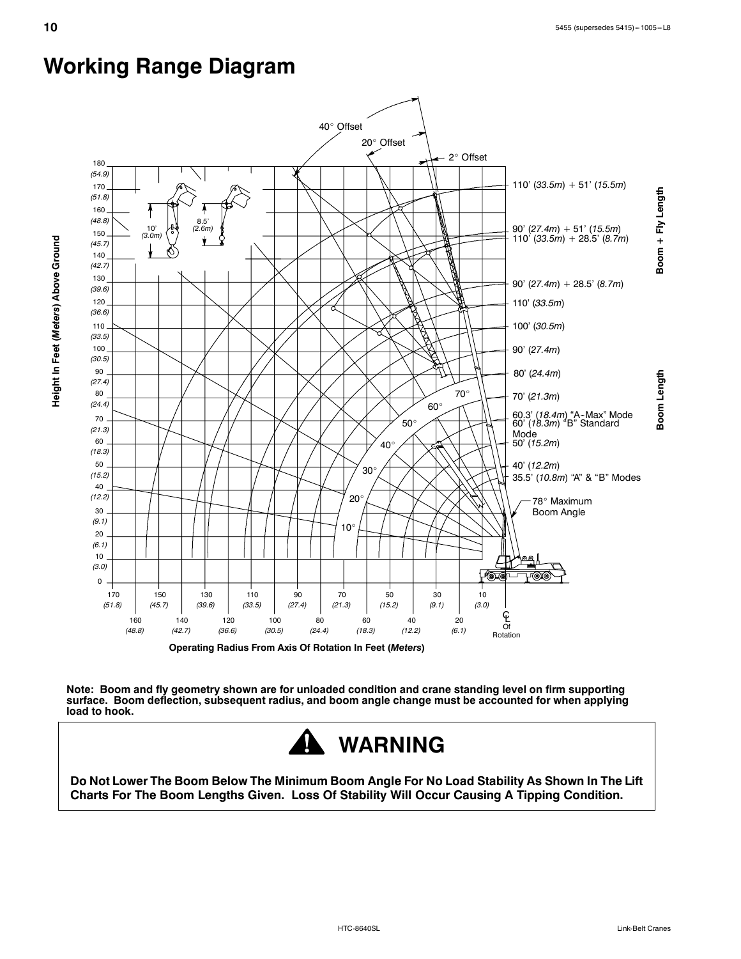# **Working Range Diagram**



**Note: Boom and fly geometry shown are for unloaded condition and crane standing level on firm supporting surface. Boom deflection, subsequent radius, and boom angle change must be accounted for when applying load to hook.**



**Do Not Lower The Boom Below The Minimum Boom Angle For No Load Stability As Shown In The Lift Charts For The Boom Lengths Given. Loss Of Stability Will Occur Causing A Tipping Condition.**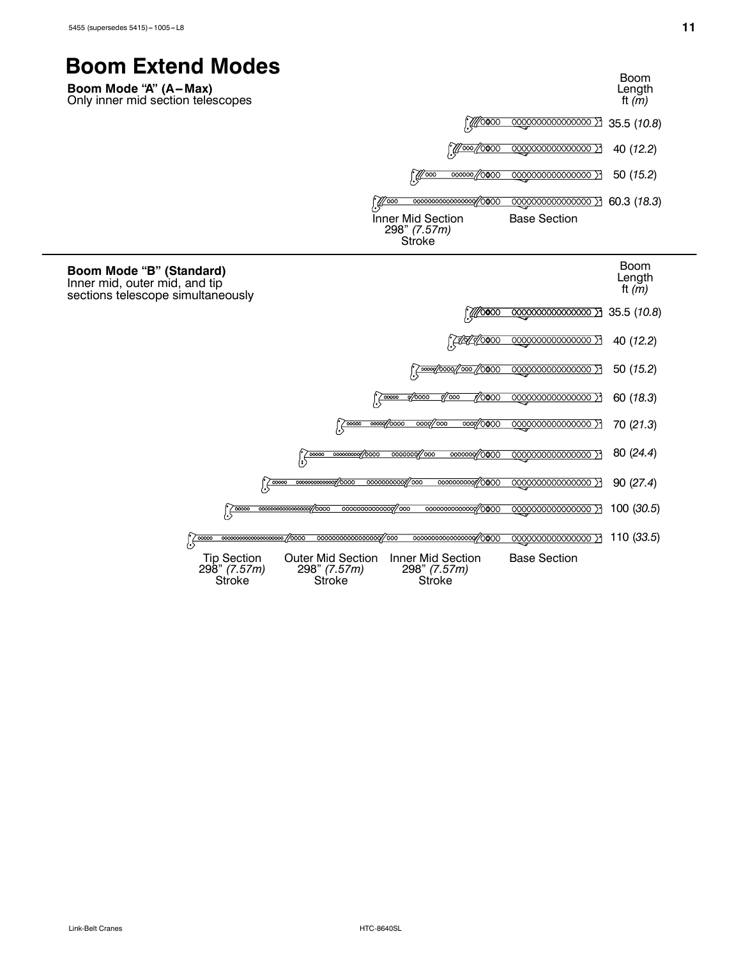# **Boom Extend Modes**

| AILIN INNACI<br>Boom Mode "A" (A-Max)<br>Only inner mid section telescopes                     |                                                                                                                 |                                            | Boom<br>Length<br>ft $(m)$        |
|------------------------------------------------------------------------------------------------|-----------------------------------------------------------------------------------------------------------------|--------------------------------------------|-----------------------------------|
|                                                                                                | <u>Moooo</u>                                                                                                    | 00000000000000000000                       | 35.5(10.8)                        |
|                                                                                                | <u>:W‱‱@o</u>                                                                                                   | 00000000000000000 }*                       | 40 (12.2)                         |
|                                                                                                | 00000 70000<br>$\mathbb{Z}^{\infty}$                                                                            | 0000000000000000000000                     | 50 (15.2)                         |
|                                                                                                | $\sqrt{\frac{2000}{200}}$<br>Inner Mid Section<br>298" (7.57m)<br><b>Stroke</b>                                 | 00000000000000000 }<br><b>Base Section</b> | 60.3 (18.3)                       |
| Boom Mode "B" (Standard)<br>Inner mid, outer mid, and tip<br>sections telescope simultaneously |                                                                                                                 |                                            | <b>Boom</b><br>Length<br>ft $(m)$ |
|                                                                                                | ` <u>Wooo</u> o                                                                                                 | 00000000000000000000                       | 35.5 (10.8)                       |
|                                                                                                | <u>  (444/0000</u>                                                                                              | 00000000000000000                          | 40 (12.2)                         |
|                                                                                                | <u>0000/0000/000/0000</u>                                                                                       | 00000000000000000 }                        | 50 (15.2)                         |
|                                                                                                | 770000<br>$\sqrt{6000}$<br>व⁄ ०००<br>$\int_{0}^{\infty} \frac{\sqrt{00000}}{\sqrt{00000}}$                      | 00000000000000000 }*                       | 60 (18.3)                         |
|                                                                                                | 0000/0000<br>0000 0000<br>0000/000<br>00000                                                                     | 00000000000000000000                       | 70 (21.3)                         |
|                                                                                                | 0000000 000<br>0000000000/0000<br>$\sqrt{00000}$<br>$\left( \cdot \right)$                                      | 00000000000000000 }                        | 80 (24.4)                         |
| $\sqrt{\frac{00000}{2}}$                                                                       | 0000000000000000                                                                                                | 00000000000000000000                       | 90 (27.4)                         |
| 00000                                                                                          |                                                                                                                 | 000000000000000000000                      | 100 (30.5)                        |
| $\int_{0}^{1} \frac{\sqrt{00000}}{1}$                                                          |                                                                                                                 | 00000000000000000                          | 110 (33.5)                        |
| <b>Tip Section</b><br>298" (7.57m)<br><b>Stroke</b>                                            | <b>Outer Mid Section</b><br>Inner Mid Section<br>298" (7.57m)<br>298" (7.57m)<br><b>Stroke</b><br><b>Stroke</b> | <b>Base Section</b>                        |                                   |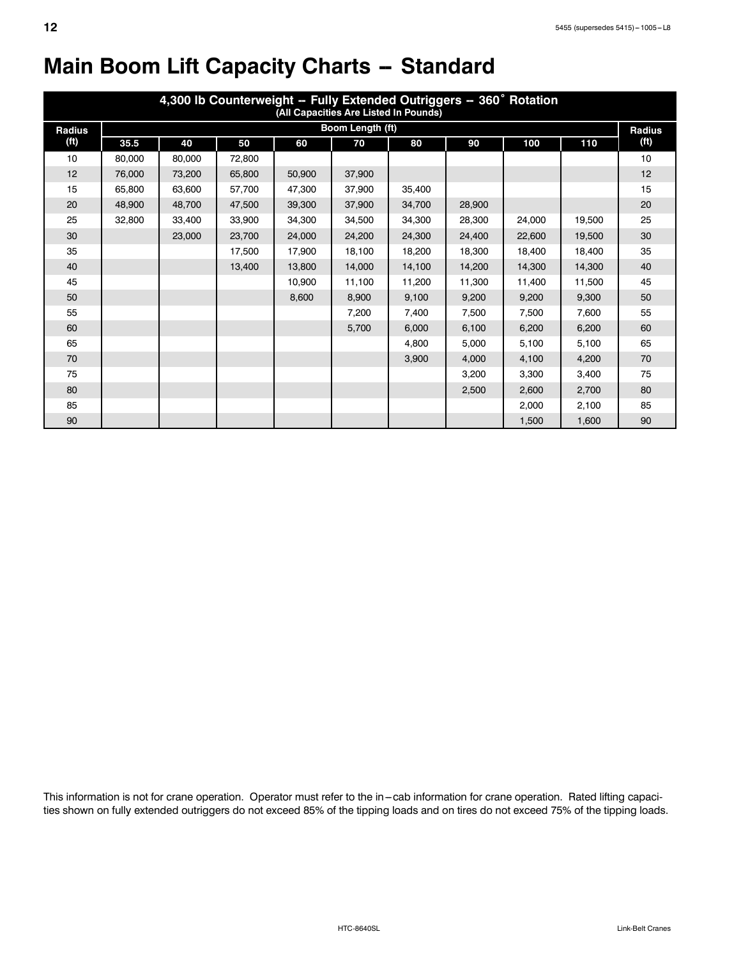| 4,300 lb Counterweight - Fully Extended Outriggers - 360° Rotation<br>(All Capacities Are Listed In Pounds) |        |        |        |        |                  |        |        |        |        |                   |  |  |  |
|-------------------------------------------------------------------------------------------------------------|--------|--------|--------|--------|------------------|--------|--------|--------|--------|-------------------|--|--|--|
| <b>Radius</b>                                                                                               |        |        |        |        | Boom Length (ft) |        |        |        |        | <b>Radius</b>     |  |  |  |
| (f <sup>t</sup> )                                                                                           | 35.5   | 40     | 50     | 60     | 70               | 80     | 90     | 100    | 110    | (f <sup>t</sup> ) |  |  |  |
| 10                                                                                                          | 80,000 | 80,000 | 72,800 |        |                  |        |        |        |        | 10                |  |  |  |
| 12                                                                                                          | 76,000 | 73,200 | 65,800 | 50,900 | 37,900           |        |        |        |        | 12                |  |  |  |
| 15                                                                                                          | 65.800 | 63,600 | 57,700 | 47,300 | 37.900           | 35.400 |        |        |        | 15                |  |  |  |
| 20                                                                                                          | 48,900 | 48.700 | 47.500 | 39,300 | 37,900           | 34.700 | 28,900 |        |        | 20                |  |  |  |
| 25                                                                                                          | 32,800 | 33,400 | 33,900 | 34,300 | 34,500           | 34,300 | 28,300 | 24,000 | 19,500 | 25                |  |  |  |
| 30                                                                                                          |        | 23,000 | 23.700 | 24.000 | 24.200           | 24,300 | 24,400 | 22,600 | 19,500 | 30                |  |  |  |
| 35                                                                                                          |        |        | 17.500 | 17.900 | 18,100           | 18,200 | 18,300 | 18.400 | 18.400 | 35                |  |  |  |
| 40                                                                                                          |        |        | 13,400 | 13,800 | 14,000           | 14,100 | 14,200 | 14,300 | 14,300 | 40                |  |  |  |
| 45                                                                                                          |        |        |        | 10,900 | 11,100           | 11,200 | 11,300 | 11,400 | 11,500 | 45                |  |  |  |
| 50                                                                                                          |        |        |        | 8,600  | 8,900            | 9,100  | 9,200  | 9,200  | 9,300  | 50                |  |  |  |
| 55                                                                                                          |        |        |        |        | 7.200            | 7,400  | 7,500  | 7,500  | 7,600  | 55                |  |  |  |
| 60                                                                                                          |        |        |        |        | 5.700            | 6,000  | 6,100  | 6.200  | 6.200  | 60                |  |  |  |
| 65                                                                                                          |        |        |        |        |                  | 4,800  | 5,000  | 5,100  | 5,100  | 65                |  |  |  |
| 70                                                                                                          |        |        |        |        |                  | 3,900  | 4,000  | 4,100  | 4,200  | 70                |  |  |  |
| 75                                                                                                          |        |        |        |        |                  |        | 3.200  | 3.300  | 3,400  | 75                |  |  |  |
| 80                                                                                                          |        |        |        |        |                  |        | 2,500  | 2,600  | 2,700  | 80                |  |  |  |
| 85                                                                                                          |        |        |        |        |                  |        |        | 2,000  | 2,100  | 85                |  |  |  |
| 90                                                                                                          |        |        |        |        |                  |        |        | 1,500  | 1,600  | 90                |  |  |  |

# **Main Boom Lift Capacity Charts - Standard**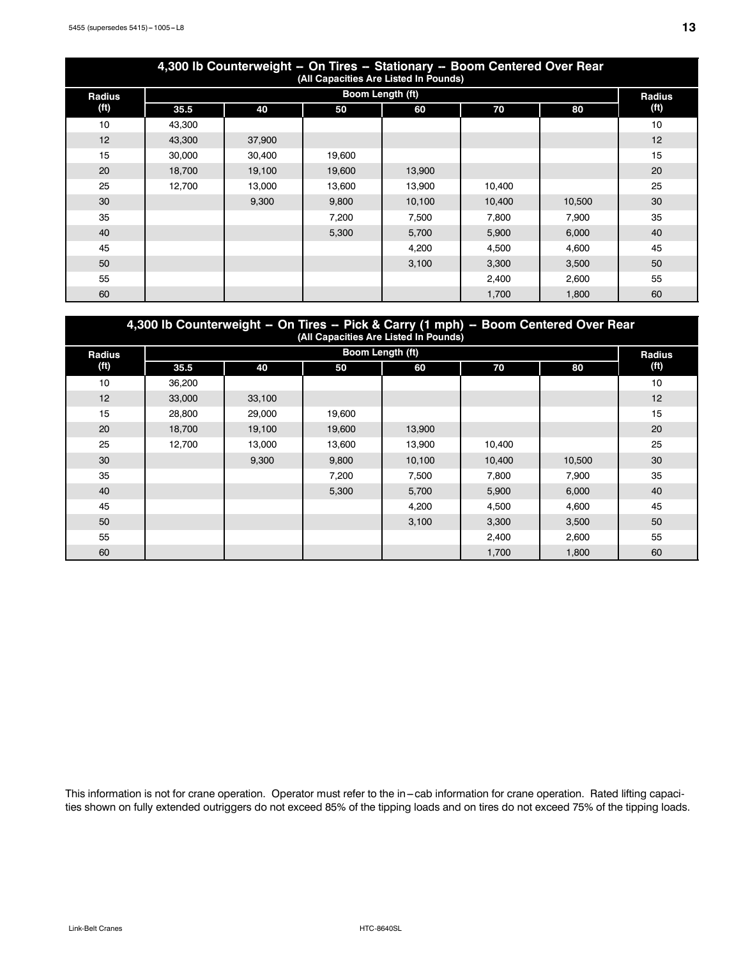| 4,300 lb Counterweight - On Tires -- Stationary -- Boom Centered Over Rear<br>(All Capacities Are Listed In Pounds) |                  |        |        |        |        |        |                   |  |  |  |  |  |
|---------------------------------------------------------------------------------------------------------------------|------------------|--------|--------|--------|--------|--------|-------------------|--|--|--|--|--|
| Radius                                                                                                              | Boom Length (ft) |        |        |        |        |        |                   |  |  |  |  |  |
| (ft)                                                                                                                | 35.5             | 40     | 50     | 60     | 70     | 80     | (f <sup>t</sup> ) |  |  |  |  |  |
| 10                                                                                                                  | 43,300           |        |        |        |        |        | 10                |  |  |  |  |  |
| 12                                                                                                                  | 43,300           | 37,900 |        |        |        |        | 12                |  |  |  |  |  |
| 15                                                                                                                  | 30,000           | 30,400 | 19,600 |        |        |        | 15                |  |  |  |  |  |
| 20                                                                                                                  | 18,700           | 19,100 | 19,600 | 13,900 |        |        | 20                |  |  |  |  |  |
| 25                                                                                                                  | 12,700           | 13,000 | 13,600 | 13,900 | 10,400 |        | 25                |  |  |  |  |  |
| 30                                                                                                                  |                  | 9,300  | 9,800  | 10,100 | 10,400 | 10,500 | 30                |  |  |  |  |  |
| 35                                                                                                                  |                  |        | 7,200  | 7,500  | 7,800  | 7,900  | 35                |  |  |  |  |  |
| 40                                                                                                                  |                  |        | 5,300  | 5,700  | 5,900  | 6,000  | 40                |  |  |  |  |  |
| 45                                                                                                                  |                  |        |        | 4,200  | 4,500  | 4.600  | 45                |  |  |  |  |  |
| 50                                                                                                                  |                  |        |        | 3,100  | 3,300  | 3,500  | 50                |  |  |  |  |  |
| 55                                                                                                                  |                  |        |        |        | 2,400  | 2,600  | 55                |  |  |  |  |  |
| 60                                                                                                                  |                  |        |        |        | 1,700  | 1,800  | 60                |  |  |  |  |  |

#### **4,300 lb Counterweight -- On Tires -- Pick & Carry (1 mph) -- Boom Centered Over Rear (All Capacities Are Listed In Pounds)**

| . .<br>______     |        |        |               |        |        |        |                   |  |  |  |  |  |
|-------------------|--------|--------|---------------|--------|--------|--------|-------------------|--|--|--|--|--|
| <b>Radius</b>     |        |        | <b>Radius</b> |        |        |        |                   |  |  |  |  |  |
| (f <sup>t</sup> ) | 35.5   | 40     | 50            | 60     | 70     | 80     | (f <sup>t</sup> ) |  |  |  |  |  |
| 10                | 36,200 |        |               |        |        |        | 10                |  |  |  |  |  |
| 12                | 33,000 | 33,100 |               |        |        |        | 12                |  |  |  |  |  |
| 15                | 28,800 | 29,000 | 19,600        |        |        |        | 15                |  |  |  |  |  |
| 20                | 18,700 | 19,100 | 19,600        | 13,900 |        |        | 20                |  |  |  |  |  |
| 25                | 12,700 | 13,000 | 13,600        | 13,900 | 10,400 |        | 25                |  |  |  |  |  |
| 30                |        | 9,300  | 9,800         | 10,100 | 10,400 | 10,500 | 30                |  |  |  |  |  |
| 35                |        |        | 7,200         | 7,500  | 7,800  | 7,900  | 35                |  |  |  |  |  |
| 40                |        |        | 5,300         | 5,700  | 5,900  | 6,000  | 40                |  |  |  |  |  |
| 45                |        |        |               | 4,200  | 4,500  | 4,600  | 45                |  |  |  |  |  |
| 50                |        |        |               | 3,100  | 3,300  | 3,500  | 50                |  |  |  |  |  |
| 55                |        |        |               |        | 2,400  | 2,600  | 55                |  |  |  |  |  |
| 60                |        |        |               |        | 1,700  | 1,800  | 60                |  |  |  |  |  |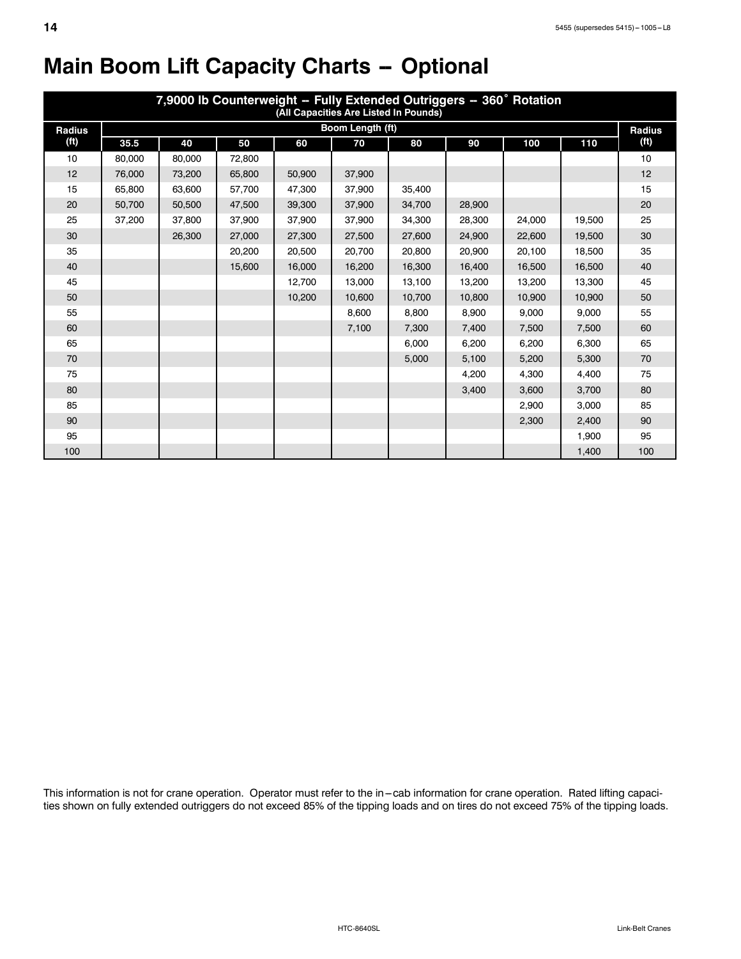| <b>Malli Doolli Liit Capacity Charts - Optional</b>                                                            |                   |                         |        |        |        |        |        |    |     |     |                   |  |  |
|----------------------------------------------------------------------------------------------------------------|-------------------|-------------------------|--------|--------|--------|--------|--------|----|-----|-----|-------------------|--|--|
| 7,9000 lb Counterweight -- Fully Extended Outriggers -- 360° Rotation<br>(All Capacities Are Listed In Pounds) |                   |                         |        |        |        |        |        |    |     |     |                   |  |  |
|                                                                                                                | <b>Radius</b>     | <b>Boom Length (ft)</b> |        |        |        |        |        |    |     |     |                   |  |  |
|                                                                                                                | (ft)              | 35.5                    | 40     | 50     | 60     | 70     | 80     | 90 | 100 | 110 | (f <sup>t</sup> ) |  |  |
|                                                                                                                | 10                | 80,000                  | 80,000 | 72.800 |        |        |        |    |     |     | 10                |  |  |
|                                                                                                                | $12 \overline{ }$ | 76,000                  | 73,200 | 65,800 | 50,900 | 37,900 |        |    |     |     | 12                |  |  |
|                                                                                                                | 15                | 65,800                  | 63,600 | 57.700 | 47.300 | 37,900 | 35.400 |    |     |     | 15                |  |  |

20 | 50,700 | 50,500 | 47,500 | 39,300 | 37,900 | 34,700 | 28,900 | | | | 20 37,200 37,800 37,900 37,900 37,900 34,300 28,300 24,000 19,500 25 26,300 27,000 27,300 27,500 27,600 24,900 22,600 19,500 30 20,200 20,500 20,700 20,800 20,900 20,100 18,500 35 15,600 16,000 16,200 16,300 16,400 16,500 16,500 40 12,700 13,000 13,100 13,200 13,200 13,300 45 10,200 10,600 10,700 10,800 10,900 10,900 50 55 | | | | | | | 8,600 | 8,800 | 8,900 | 9,000 | 9,000 | 55 7,100 7,300 7,400 7,500 7,500 60 65 | | | | | | | | | | 6,000 | 6,200 | 6,200 | 6,300 | 65 5,000 5,100 5,200 5,300 70 4,200 4,300 4,400 75 80 | | | | | | | | | | | | | 3,400 | 3,600 | 3,700 | 80 2,900 3,000 85 2,300 2,400 90 95 1,900 95 1,400 100

# **Main Boom Lift Capacity Charts -- Optional**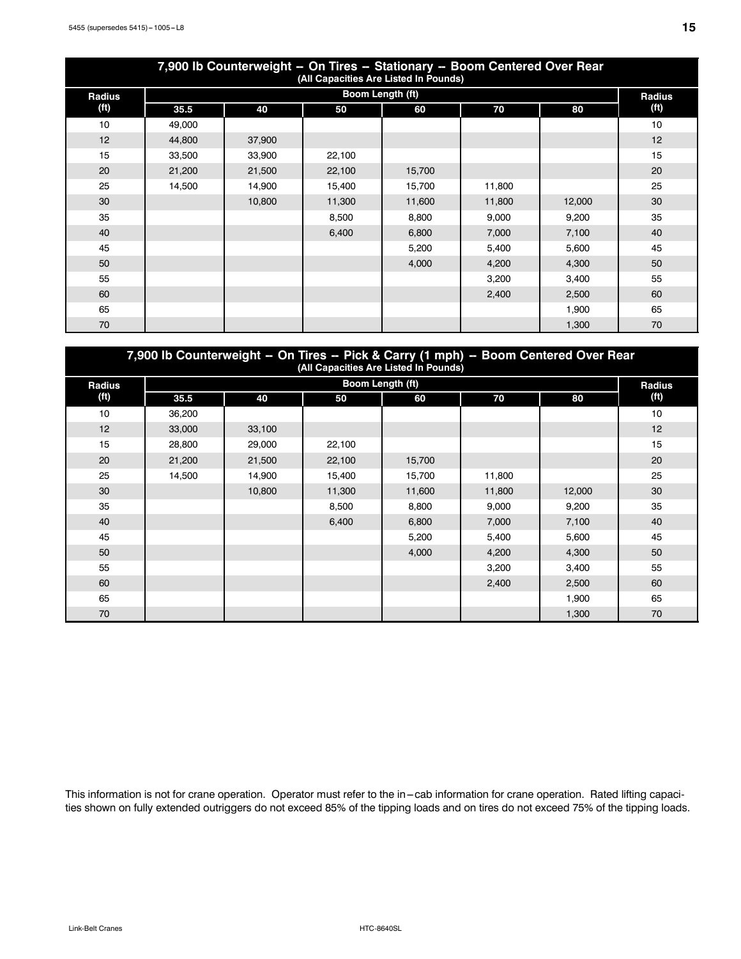|                   | 7,900 lb Counterweight - On Tires -- Stationary -- Boom Centered Over Rear<br>(All Capacities Are Listed In Pounds) |        |                  |        |        |        |                   |  |  |  |  |  |
|-------------------|---------------------------------------------------------------------------------------------------------------------|--------|------------------|--------|--------|--------|-------------------|--|--|--|--|--|
| Radius            |                                                                                                                     |        | Boom Length (ft) |        |        |        | <b>Radius</b>     |  |  |  |  |  |
| (f <sup>t</sup> ) | 35.5                                                                                                                | 40     | 50               | 60     | 70     | 80     | (f <sup>t</sup> ) |  |  |  |  |  |
| 10                | 49,000                                                                                                              |        |                  |        |        |        | 10                |  |  |  |  |  |
| 12                | 44,800                                                                                                              | 37,900 |                  |        |        |        | 12                |  |  |  |  |  |
| 15                | 33,500                                                                                                              | 33,900 | 22,100           |        |        |        | 15                |  |  |  |  |  |
| 20                | 21,200                                                                                                              | 21,500 | 22,100           | 15,700 |        |        | 20                |  |  |  |  |  |
| 25                | 14,500                                                                                                              | 14,900 | 15,400           | 15,700 | 11,800 |        | 25                |  |  |  |  |  |
| 30                |                                                                                                                     | 10,800 | 11,300           | 11,600 | 11,800 | 12,000 | 30                |  |  |  |  |  |
| 35                |                                                                                                                     |        | 8,500            | 8,800  | 9,000  | 9,200  | 35                |  |  |  |  |  |
| 40                |                                                                                                                     |        | 6,400            | 6,800  | 7,000  | 7,100  | 40                |  |  |  |  |  |
| 45                |                                                                                                                     |        |                  | 5,200  | 5,400  | 5,600  | 45                |  |  |  |  |  |
| 50                |                                                                                                                     |        |                  | 4,000  | 4,200  | 4,300  | 50                |  |  |  |  |  |
| 55                |                                                                                                                     |        |                  |        | 3,200  | 3,400  | 55                |  |  |  |  |  |
| 60                |                                                                                                                     |        |                  |        | 2,400  | 2,500  | 60                |  |  |  |  |  |
| 65                |                                                                                                                     |        |                  |        |        | 1,900  | 65                |  |  |  |  |  |
| 70                |                                                                                                                     |        |                  |        |        | 1,300  | 70                |  |  |  |  |  |

|                   | 7,900 lb Counterweight - On Tires -- Pick & Carry (1 mph) -- Boom Centered Over Rear<br>(All Capacities Are Listed In Pounds) |        |        |                  |        |        |                   |  |  |  |  |
|-------------------|-------------------------------------------------------------------------------------------------------------------------------|--------|--------|------------------|--------|--------|-------------------|--|--|--|--|
| Radius            |                                                                                                                               |        |        | Boom Length (ft) |        |        | <b>Radius</b>     |  |  |  |  |
| (f <sup>t</sup> ) | 35.5                                                                                                                          | 40     | 50     | 60               | 70     | 80     | (f <sup>t</sup> ) |  |  |  |  |
| 10                | 36,200                                                                                                                        |        |        |                  |        |        | 10                |  |  |  |  |
| 12                | 33,000                                                                                                                        | 33,100 |        |                  |        |        | 12                |  |  |  |  |
| 15                | 28,800                                                                                                                        | 29,000 | 22,100 |                  |        |        | 15                |  |  |  |  |
| 20                | 21,200                                                                                                                        | 21,500 | 22,100 | 15,700           |        |        | 20                |  |  |  |  |
| 25                | 14,500                                                                                                                        | 14,900 | 15,400 | 15,700           | 11,800 |        | 25                |  |  |  |  |
| 30                |                                                                                                                               | 10,800 | 11,300 | 11,600           | 11,800 | 12,000 | 30                |  |  |  |  |
| 35                |                                                                                                                               |        | 8,500  | 8,800            | 9,000  | 9,200  | 35                |  |  |  |  |
| 40                |                                                                                                                               |        | 6,400  | 6,800            | 7,000  | 7,100  | 40                |  |  |  |  |
| 45                |                                                                                                                               |        |        | 5,200            | 5,400  | 5,600  | 45                |  |  |  |  |
| 50                |                                                                                                                               |        |        | 4,000            | 4,200  | 4,300  | 50                |  |  |  |  |
| 55                |                                                                                                                               |        |        |                  | 3,200  | 3,400  | 55                |  |  |  |  |
| 60                |                                                                                                                               |        |        |                  | 2,400  | 2,500  | 60                |  |  |  |  |
| 65                |                                                                                                                               |        |        |                  |        | 1,900  | 65                |  |  |  |  |
| 70                |                                                                                                                               |        |        |                  |        | 1,300  | 70                |  |  |  |  |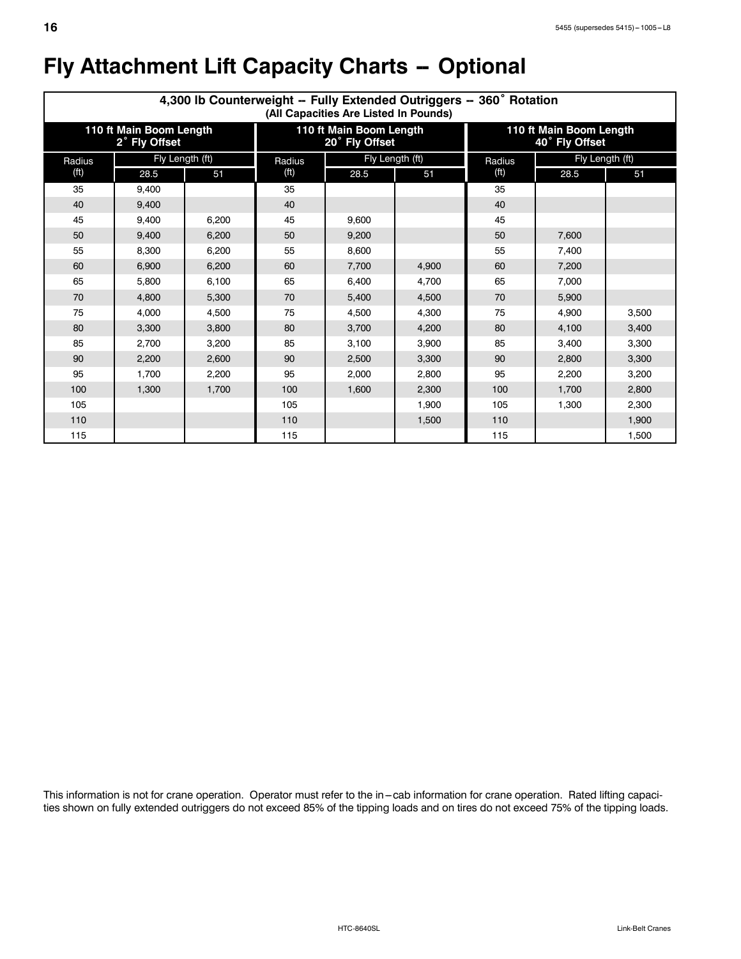|                   | 4,300 lb Counterweight - Fully Extended Outriggers - 360° Rotation<br>(All Capacities Are Listed In Pounds) |                 |                   |                                           |       |                   |                                           |                 |  |  |  |  |  |
|-------------------|-------------------------------------------------------------------------------------------------------------|-----------------|-------------------|-------------------------------------------|-------|-------------------|-------------------------------------------|-----------------|--|--|--|--|--|
|                   | 110 ft Main Boom Length<br>2° Fly Offset                                                                    |                 |                   | 110 ft Main Boom Length<br>20° Fly Offset |       |                   | 110 ft Main Boom Length<br>40° Fly Offset |                 |  |  |  |  |  |
| Radius            |                                                                                                             | Fly Length (ft) | Radius            | Fly Length (ft)                           |       | Radius            |                                           | Fly Length (ft) |  |  |  |  |  |
| (f <sup>t</sup> ) | 28.5                                                                                                        | 51              | (f <sup>t</sup> ) | 28.5                                      | 51    | (f <sup>t</sup> ) | 28.5                                      | 51              |  |  |  |  |  |
| 35                | 9,400                                                                                                       |                 | 35                |                                           |       | 35                |                                           |                 |  |  |  |  |  |
| 40                | 9,400                                                                                                       |                 | 40                |                                           |       | 40                |                                           |                 |  |  |  |  |  |
| 45                | 9,400                                                                                                       | 6,200           | 45                | 9,600                                     |       | 45                |                                           |                 |  |  |  |  |  |
| 50                | 9.400                                                                                                       | 6.200           | 50                | 9.200                                     |       | 50                | 7.600                                     |                 |  |  |  |  |  |
| 55                | 8.300                                                                                                       | 6.200           | 55                | 8.600                                     |       | 55                | 7.400                                     |                 |  |  |  |  |  |
| 60                | 6.900                                                                                                       | 6.200           | 60                | 7.700                                     | 4.900 | 60                | 7,200                                     |                 |  |  |  |  |  |
| 65                | 5.800                                                                                                       | 6.100           | 65                | 6,400                                     | 4,700 | 65                | 7,000                                     |                 |  |  |  |  |  |
| 70                | 4.800                                                                                                       | 5,300           | 70                | 5.400                                     | 4.500 | 70                | 5.900                                     |                 |  |  |  |  |  |
| 75                | 4.000                                                                                                       | 4.500           | 75                | 4,500                                     | 4.300 | 75                | 4.900                                     | 3.500           |  |  |  |  |  |
| 80                | 3,300                                                                                                       | 3,800           | 80                | 3,700                                     | 4,200 | 80                | 4,100                                     | 3,400           |  |  |  |  |  |
| 85                | 2.700                                                                                                       | 3,200           | 85                | 3,100                                     | 3,900 | 85                | 3.400                                     | 3,300           |  |  |  |  |  |
| 90                | 2,200                                                                                                       | 2.600           | 90                | 2,500                                     | 3,300 | 90                | 2.800                                     | 3.300           |  |  |  |  |  |
| 95                | 1.700                                                                                                       | 2.200           | 95                | 2.000                                     | 2.800 | 95                | 2.200                                     | 3.200           |  |  |  |  |  |
| 100               | 1,300                                                                                                       | 1,700           | 100               | 1,600                                     | 2,300 | 100               | 1,700                                     | 2,800           |  |  |  |  |  |
| 105               |                                                                                                             |                 | 105               |                                           | 1,900 | 105               | 1,300                                     | 2,300           |  |  |  |  |  |
| 110               |                                                                                                             |                 | 110               |                                           | 1,500 | 110               |                                           | 1,900           |  |  |  |  |  |
| 115               |                                                                                                             |                 | 115               |                                           |       | 115               |                                           | 1,500           |  |  |  |  |  |

# **Fly Attachment Lift Capacity Charts - Optional**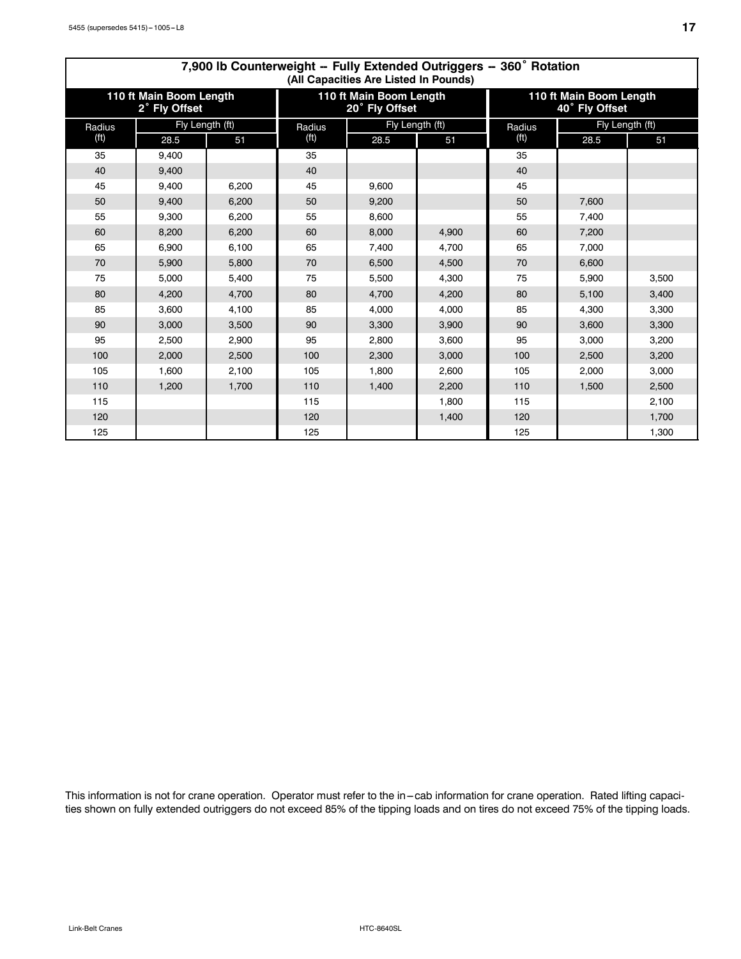|                   | 7,900 lb Counterweight - Fully Extended Outriggers - 360° Rotation<br>(All Capacities Are Listed In Pounds) |                 |                   |                                           |       |                   |                                           |       |  |  |  |  |  |  |
|-------------------|-------------------------------------------------------------------------------------------------------------|-----------------|-------------------|-------------------------------------------|-------|-------------------|-------------------------------------------|-------|--|--|--|--|--|--|
|                   | 110 ft Main Boom Length<br>2° Fly Offset                                                                    |                 |                   | 110 ft Main Boom Length<br>20° Fly Offset |       |                   | 110 ft Main Boom Length<br>40° Fly Offset |       |  |  |  |  |  |  |
| Radius            |                                                                                                             | Fly Length (ft) | Radius            | Fly Length (ft)                           |       | Radius            | Fly Length (ft)                           |       |  |  |  |  |  |  |
| (f <sup>t</sup> ) | 28.5                                                                                                        | 51              | (f <sup>t</sup> ) | 28.5                                      | 51    | (f <sup>t</sup> ) | 28.5                                      | 51    |  |  |  |  |  |  |
| 35                | 9,400                                                                                                       |                 | 35                |                                           |       | 35                |                                           |       |  |  |  |  |  |  |
| 40                | 9,400                                                                                                       |                 | 40                |                                           |       | 40                |                                           |       |  |  |  |  |  |  |
| 45                | 9,400                                                                                                       | 6,200           | 45                | 9,600                                     |       | 45                |                                           |       |  |  |  |  |  |  |
| 50                | 9,400                                                                                                       | 6,200           | 50                | 9,200                                     |       | 50                | 7,600                                     |       |  |  |  |  |  |  |
| 55                | 9,300                                                                                                       | 6,200           | 55                | 8,600                                     |       | 55                | 7,400                                     |       |  |  |  |  |  |  |
| 60                | 8,200                                                                                                       | 6,200           | 60                | 8,000                                     | 4,900 | 60                | 7,200                                     |       |  |  |  |  |  |  |
| 65                | 6,900                                                                                                       | 6,100           | 65                | 7,400                                     | 4,700 | 65                | 7,000                                     |       |  |  |  |  |  |  |
| 70                | 5,900                                                                                                       | 5,800           | 70                | 6,500                                     | 4,500 | 70                | 6,600                                     |       |  |  |  |  |  |  |
| 75                | 5.000                                                                                                       | 5,400           | 75                | 5,500                                     | 4,300 | 75                | 5.900                                     | 3,500 |  |  |  |  |  |  |
| 80                | 4,200                                                                                                       | 4,700           | 80                | 4,700                                     | 4,200 | 80                | 5,100                                     | 3,400 |  |  |  |  |  |  |
| 85                | 3.600                                                                                                       | 4,100           | 85                | 4,000                                     | 4,000 | 85                | 4,300                                     | 3,300 |  |  |  |  |  |  |
| 90                | 3,000                                                                                                       | 3,500           | 90                | 3,300                                     | 3,900 | 90                | 3,600                                     | 3,300 |  |  |  |  |  |  |
| 95                | 2,500                                                                                                       | 2,900           | 95                | 2,800                                     | 3,600 | 95                | 3,000                                     | 3,200 |  |  |  |  |  |  |
| 100               | 2,000                                                                                                       | 2,500           | 100               | 2,300                                     | 3,000 | 100               | 2,500                                     | 3,200 |  |  |  |  |  |  |
| 105               | 1,600                                                                                                       | 2,100           | 105               | 1,800                                     | 2,600 | 105               | 2,000                                     | 3,000 |  |  |  |  |  |  |
| 110               | 1,200                                                                                                       | 1,700           | 110               | 1,400                                     | 2,200 | 110               | 1,500                                     | 2,500 |  |  |  |  |  |  |
| 115               |                                                                                                             |                 | 115               |                                           | 1,800 | 115               |                                           | 2,100 |  |  |  |  |  |  |
| 120               |                                                                                                             |                 | 120               |                                           | 1,400 | 120               |                                           | 1,700 |  |  |  |  |  |  |
| 125               |                                                                                                             |                 | 125               |                                           |       | 125               |                                           | 1,300 |  |  |  |  |  |  |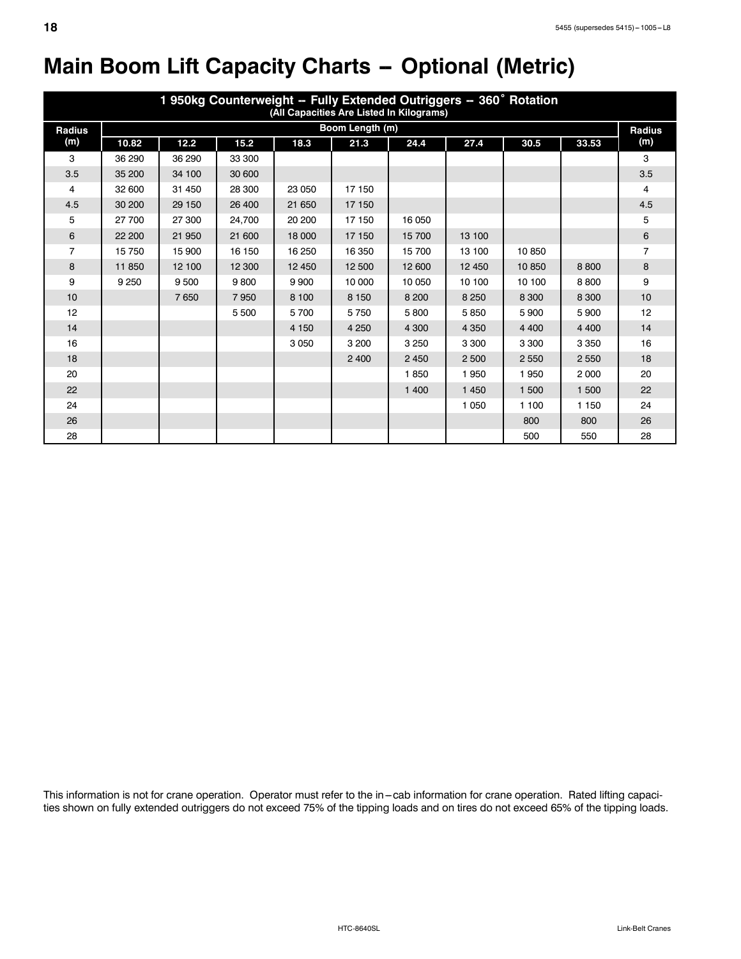| <b>Main Boom Lift Capacity Charts - Optional (Metric)</b> |  |  |  |
|-----------------------------------------------------------|--|--|--|
|-----------------------------------------------------------|--|--|--|

| 1 950kg Counterweight -- Fully Extended Outriggers -- 360° Rotation<br>(All Capacities Are Listed In Kilograms) |         |        |        |         |                        |         |         |         |         |                |  |  |
|-----------------------------------------------------------------------------------------------------------------|---------|--------|--------|---------|------------------------|---------|---------|---------|---------|----------------|--|--|
| <b>Radius</b>                                                                                                   |         |        |        |         | <b>Boom Length (m)</b> |         |         |         |         | <b>Radius</b>  |  |  |
| (m)                                                                                                             | 10.82   | 12.2   | 15.2   | 18.3    | 21.3                   | 24.4    | 27.4    | 30.5    | 33.53   | (m)            |  |  |
| 3                                                                                                               | 36 290  | 36 290 | 33 300 |         |                        |         |         |         |         | 3              |  |  |
| 3.5                                                                                                             | 35 200  | 34 100 | 30 600 |         |                        |         |         |         |         | 3.5            |  |  |
| 4                                                                                                               | 32 600  | 31 450 | 28 300 | 23 050  | 17 150                 |         |         |         |         | 4              |  |  |
| 4.5                                                                                                             | 30 200  | 29 150 | 26 400 | 21 650  | 17 150                 |         |         |         |         | 4.5            |  |  |
| 5                                                                                                               | 27 700  | 27 300 | 24.700 | 20 200  | 17 150                 | 16 050  |         |         |         | 5              |  |  |
| 6                                                                                                               | 22 200  | 21 950 | 21 600 | 18 000  | 17 150                 | 15 700  | 13 100  |         |         | 6              |  |  |
| $\overline{7}$                                                                                                  | 15 750  | 15 900 | 16 150 | 16 250  | 16 350                 | 15 700  | 13 100  | 10850   |         | $\overline{7}$ |  |  |
| 8                                                                                                               | 11 850  | 12 100 | 12 300 | 12 450  | 12 500                 | 12 600  | 12 450  | 10850   | 8800    | 8              |  |  |
| 9                                                                                                               | 9 2 5 0 | 9500   | 9800   | 9900    | 10 000                 | 10 050  | 10 100  | 10 100  | 8800    | 9              |  |  |
| 10                                                                                                              |         | 7650   | 7950   | 8 100   | 8 1 5 0                | 8 2 0 0 | 8 2 5 0 | 8 3 0 0 | 8 3 0 0 | 10             |  |  |
| 12                                                                                                              |         |        | 5 500  | 5700    | 5750                   | 5800    | 5850    | 5900    | 5 900   | 12             |  |  |
| 14                                                                                                              |         |        |        | 4 1 5 0 | 4 2 5 0                | 4 3 0 0 | 4 3 5 0 | 4 4 0 0 | 4 4 0 0 | 14             |  |  |
| 16                                                                                                              |         |        |        | 3 0 5 0 | 3 200                  | 3 2 5 0 | 3 3 0 0 | 3 3 0 0 | 3 3 5 0 | 16             |  |  |
| 18                                                                                                              |         |        |        |         | 2 4 0 0                | 2 4 5 0 | 2 500   | 2 5 5 0 | 2 5 5 0 | 18             |  |  |
| 20                                                                                                              |         |        |        |         |                        | 1850    | 1950    | 1950    | 2 0 0 0 | 20             |  |  |
| 22                                                                                                              |         |        |        |         |                        | 1 400   | 1 450   | 1 500   | 1 500   | 22             |  |  |
| 24                                                                                                              |         |        |        |         |                        |         | 1 0 5 0 | 1 100   | 1 150   | 24             |  |  |
| 26                                                                                                              |         |        |        |         |                        |         |         | 800     | 800     | 26             |  |  |
| 28                                                                                                              |         |        |        |         |                        |         |         | 500     | 550     | 28             |  |  |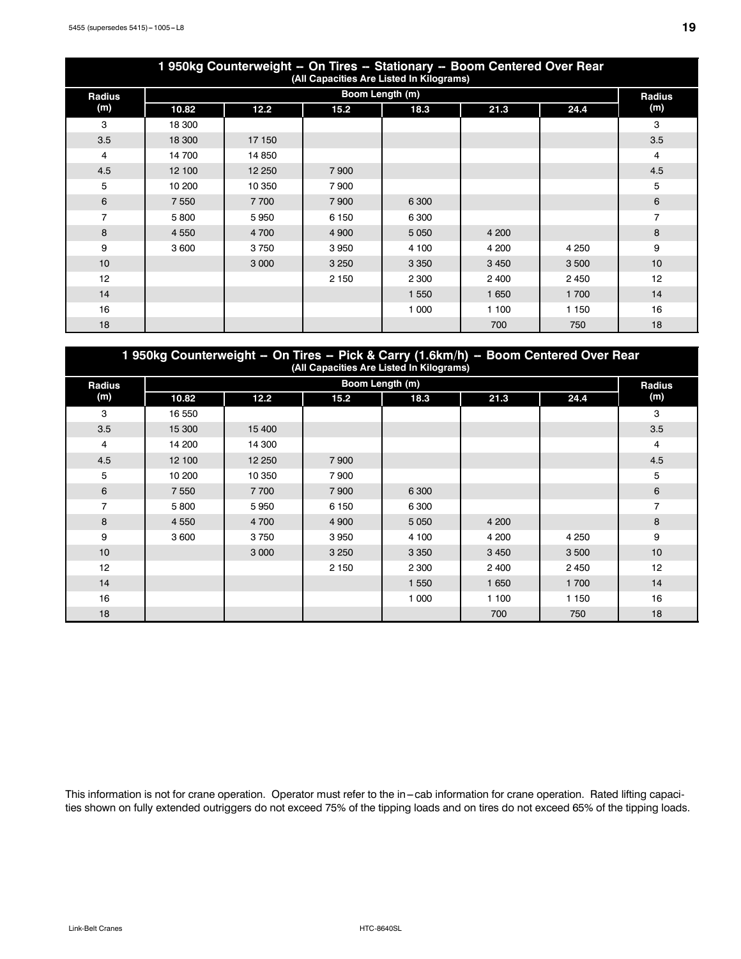|                | 1950kg Counterweight -- On Tires -- Stationary -- Boom Centered Over Rear<br>(All Capacities Are Listed In Kilograms) |         |                 |         |         |         |                |  |  |  |  |  |
|----------------|-----------------------------------------------------------------------------------------------------------------------|---------|-----------------|---------|---------|---------|----------------|--|--|--|--|--|
| Radius         |                                                                                                                       |         | Boom Length (m) |         |         |         | <b>Radius</b>  |  |  |  |  |  |
| (m)            | 10.82                                                                                                                 | 12.2    | 15.2            | 18.3    | 21.3    | 24.4    | (m)            |  |  |  |  |  |
| 3              | 18 300                                                                                                                |         |                 |         |         |         | 3              |  |  |  |  |  |
| 3.5            | 18 300                                                                                                                | 17 150  |                 |         |         |         | 3.5            |  |  |  |  |  |
| 4              | 14 700                                                                                                                | 14 850  |                 |         |         |         | 4              |  |  |  |  |  |
| 4.5            | 12 100                                                                                                                | 12 250  | 7 9 0 0         |         |         |         | 4.5            |  |  |  |  |  |
| 5              | 10 200                                                                                                                | 10 350  | 7 9 0 0         |         |         |         | 5              |  |  |  |  |  |
| 6              | 7 5 5 0                                                                                                               | 7 700   | 7 9 0 0         | 6 3 0 0 |         |         | 6              |  |  |  |  |  |
| $\overline{7}$ | 5800                                                                                                                  | 5950    | 6 150           | 6 3 0 0 |         |         | $\overline{7}$ |  |  |  |  |  |
| 8              | 4 5 5 0                                                                                                               | 4 700   | 4 9 0 0         | 5 0 5 0 | 4 200   |         | 8              |  |  |  |  |  |
| 9              | 3 600                                                                                                                 | 3750    | 3950            | 4 100   | 4 200   | 4 2 5 0 | 9              |  |  |  |  |  |
| 10             |                                                                                                                       | 3 0 0 0 | 3 2 5 0         | 3 3 5 0 | 3 4 5 0 | 3500    | 10             |  |  |  |  |  |
| 12             |                                                                                                                       |         | 2 1 5 0         | 2 3 0 0 | 2 4 0 0 | 2450    | 12             |  |  |  |  |  |
| 14             |                                                                                                                       |         |                 | 1 5 5 0 | 1 650   | 1 700   | 14             |  |  |  |  |  |
| 16             |                                                                                                                       |         |                 | 1 000   | 1 100   | 1 1 5 0 | 16             |  |  |  |  |  |
| 18             |                                                                                                                       |         |                 |         | 700     | 750     | 18             |  |  |  |  |  |

|                | 1950kg Counterweight - On Tires - Pick & Carry (1.6km/h) - Boom Centered Over Rear<br>(All Capacities Are Listed In Kilograms) |                                      |                 |         |         |         |                |  |  |  |  |
|----------------|--------------------------------------------------------------------------------------------------------------------------------|--------------------------------------|-----------------|---------|---------|---------|----------------|--|--|--|--|
| Radius         |                                                                                                                                |                                      | Boom Length (m) |         |         |         | Radius         |  |  |  |  |
| (m)            | 10.82                                                                                                                          | 12.2<br>18.3<br>15.2<br>21.3<br>24.4 |                 |         |         |         |                |  |  |  |  |
| 3              | 16 550                                                                                                                         |                                      |                 |         |         |         | 3              |  |  |  |  |
| 3.5            | 15 300                                                                                                                         | 15 400                               |                 |         |         |         | 3.5            |  |  |  |  |
| 4              | 14 200                                                                                                                         | 14 300                               |                 |         |         |         | 4              |  |  |  |  |
| 4.5            | 12 100                                                                                                                         | 12 250                               | 7 9 0 0         |         |         |         | 4.5            |  |  |  |  |
| 5              | 10 200                                                                                                                         | 10 350                               | 7900            |         |         |         | 5              |  |  |  |  |
| 6              | 7 5 5 0                                                                                                                        | 7 700                                | 7 9 0 0         | 6 300   |         |         | 6              |  |  |  |  |
| $\overline{7}$ | 5800                                                                                                                           | 5950                                 | 6 150           | 6 300   |         |         | $\overline{7}$ |  |  |  |  |
| 8              | 4 5 5 0                                                                                                                        | 4 700                                | 4 9 0 0         | 5 0 5 0 | 4 200   |         | 8              |  |  |  |  |
| 9              | 3 600                                                                                                                          | 3750                                 | 3950            | 4 100   | 4 200   | 4 2 5 0 | 9              |  |  |  |  |
| 10             |                                                                                                                                | 3 0 0 0                              | 3 2 5 0         | 3 3 5 0 | 3 4 5 0 | 3500    | 10             |  |  |  |  |
| 12             |                                                                                                                                |                                      | 2 1 5 0         | 2 3 0 0 | 2 4 0 0 | 2450    | 12             |  |  |  |  |
| 14             |                                                                                                                                |                                      |                 | 1 5 5 0 | 1 650   | 1700    | 14             |  |  |  |  |
| 16             |                                                                                                                                |                                      |                 | 1 0 0 0 | 1 100   | 1 150   | 16             |  |  |  |  |
| 18             |                                                                                                                                |                                      |                 |         | 700     | 750     | 18             |  |  |  |  |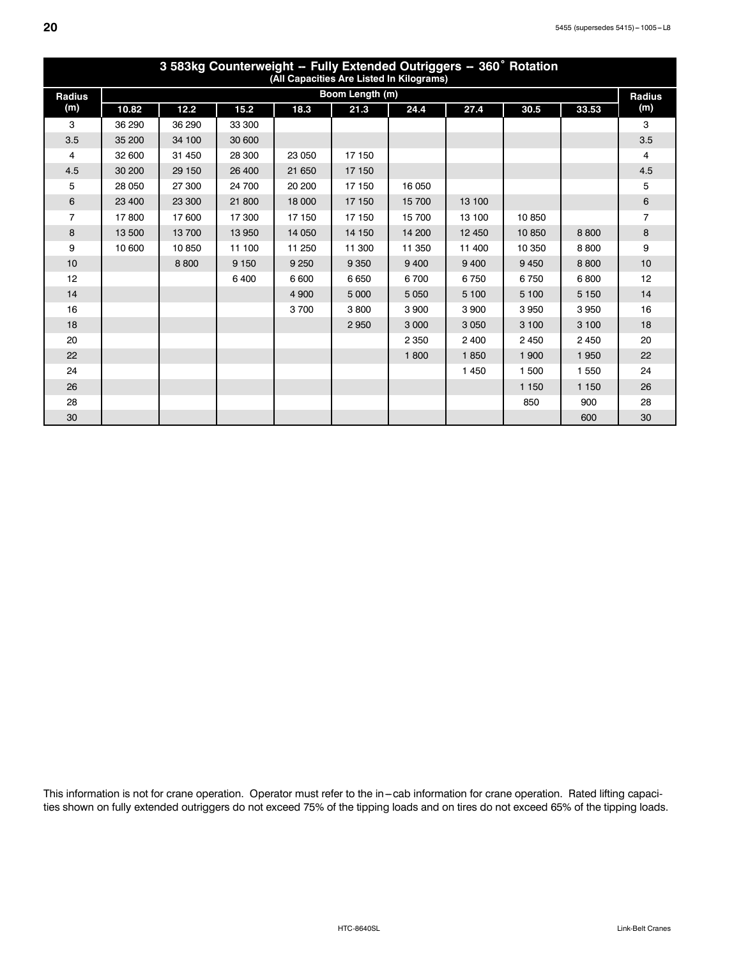| 3 583kg Counterweight -- Fully Extended Outriggers -- 360° Rotation<br>(All Capacities Are Listed In Kilograms) |        |        |         |         |                 |         |         |         |         |                |  |  |
|-----------------------------------------------------------------------------------------------------------------|--------|--------|---------|---------|-----------------|---------|---------|---------|---------|----------------|--|--|
| <b>Radius</b>                                                                                                   |        |        |         |         | Boom Length (m) |         |         |         |         | Radius         |  |  |
| (m)                                                                                                             | 10.82  | 12.2   | 15.2    | 18.3    | 21.3            | 24.4    | 27.4    | 30.5    | 33.53   | (m)            |  |  |
| 3                                                                                                               | 36 290 | 36 290 | 33 300  |         |                 |         |         |         |         | 3              |  |  |
| 3.5                                                                                                             | 35 200 | 34 100 | 30 600  |         |                 |         |         |         |         | 3.5            |  |  |
| 4                                                                                                               | 32 600 | 31 450 | 28 300  | 23 050  | 17 150          |         |         |         |         | 4              |  |  |
| 4.5                                                                                                             | 30 200 | 29 150 | 26 400  | 21 650  | 17 150          |         |         |         |         | 4.5            |  |  |
| 5                                                                                                               | 28 050 | 27 300 | 24 700  | 20 200  | 17 150          | 16 050  |         |         |         | 5              |  |  |
| 6                                                                                                               | 23 400 | 23 300 | 21 800  | 18 000  | 17 150          | 15 700  | 13 100  |         |         | 6              |  |  |
| $\overline{7}$                                                                                                  | 17800  | 17 600 | 17 300  | 17 150  | 17 150          | 15 700  | 13 100  | 10850   |         | $\overline{7}$ |  |  |
| 8                                                                                                               | 13 500 | 13700  | 13 950  | 14 050  | 14 150          | 14 200  | 12 450  | 10850   | 8800    | 8              |  |  |
| 9                                                                                                               | 10 600 | 10850  | 11 100  | 11 250  | 11 300          | 11 350  | 11 400  | 10 350  | 8800    | 9              |  |  |
| 10                                                                                                              |        | 8800   | 9 1 5 0 | 9 2 5 0 | 9 3 5 0         | 9 4 0 0 | 9 4 0 0 | 9 4 5 0 | 8800    | 10             |  |  |
| 12                                                                                                              |        |        | 6400    | 6 600   | 6650            | 6700    | 6750    | 6750    | 6800    | 12             |  |  |
| 14                                                                                                              |        |        |         | 4 9 0 0 | 5 0 0 0         | 5 0 5 0 | 5 100   | 5 100   | 5 1 5 0 | 14             |  |  |
| 16                                                                                                              |        |        |         | 3700    | 3800            | 3 9 0 0 | 3 900   | 3950    | 3950    | 16             |  |  |
| 18                                                                                                              |        |        |         |         | 2950            | 3 0 0 0 | 3 0 5 0 | 3 100   | 3 100   | 18             |  |  |
| 20                                                                                                              |        |        |         |         |                 | 2 3 5 0 | 2 400   | 2 4 5 0 | 2 4 5 0 | 20             |  |  |
| 22                                                                                                              |        |        |         |         |                 | 1800    | 1850    | 1 900   | 1950    | 22             |  |  |
| 24                                                                                                              |        |        |         |         |                 |         | 1 450   | 1 500   | 1 550   | 24             |  |  |
| 26                                                                                                              |        |        |         |         |                 |         |         | 1 1 5 0 | 1 1 5 0 | 26             |  |  |
| 28                                                                                                              |        |        |         |         |                 |         |         | 850     | 900     | 28             |  |  |
| 30                                                                                                              |        |        |         |         |                 |         |         |         | 600     | 30             |  |  |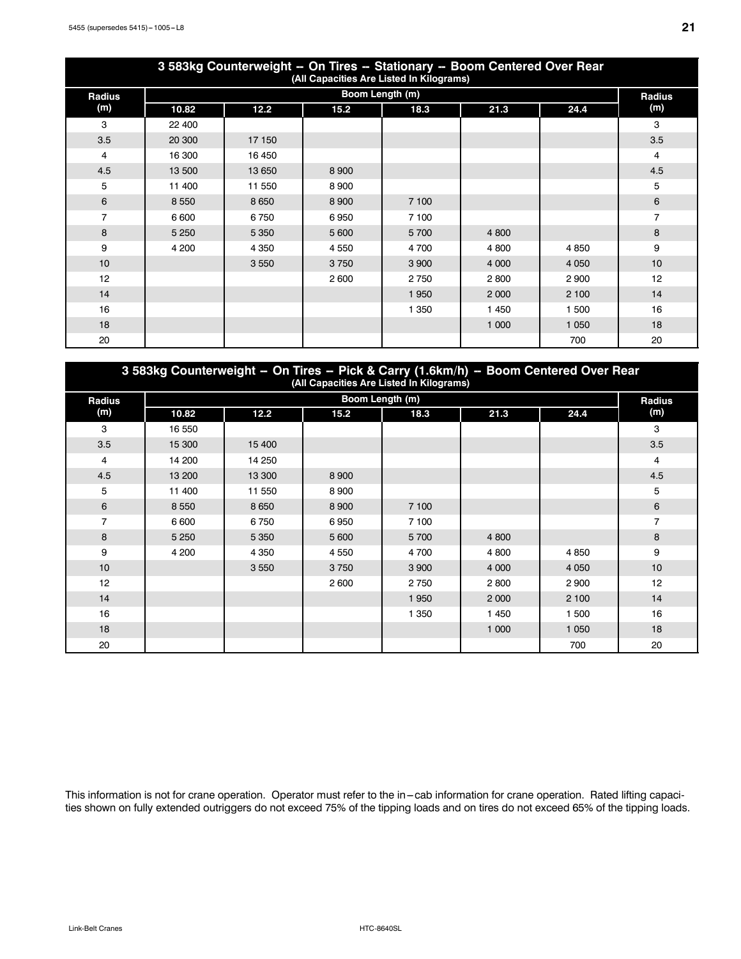|                | 3 583kg Counterweight -- On Tires -- Stationary -- Boom Centered Over Rear<br>(All Capacities Are Listed In Kilograms) |         |                 |         |         |         |                |  |  |  |  |  |
|----------------|------------------------------------------------------------------------------------------------------------------------|---------|-----------------|---------|---------|---------|----------------|--|--|--|--|--|
| <b>Radius</b>  |                                                                                                                        |         | Boom Length (m) |         |         |         | <b>Radius</b>  |  |  |  |  |  |
| (m)            | 10.82                                                                                                                  | 12.2    | 15.2            | 18.3    | 21.3    | 24.4    | (m)            |  |  |  |  |  |
| 3              | 22 400                                                                                                                 |         |                 |         |         |         | 3              |  |  |  |  |  |
| 3.5            | 20 300                                                                                                                 | 17 150  |                 |         |         |         | 3.5            |  |  |  |  |  |
| $\overline{4}$ | 16 300                                                                                                                 | 16 450  |                 |         |         |         | 4              |  |  |  |  |  |
| 4.5            | 13 500                                                                                                                 | 13 650  | 8 9 0 0         |         |         |         | 4.5            |  |  |  |  |  |
| 5              | 11 400                                                                                                                 | 11 550  | 8 9 0 0         |         |         |         | 5              |  |  |  |  |  |
| 6              | 8 5 5 0                                                                                                                | 8 6 5 0 | 8 9 0 0         | 7 100   |         |         | 6              |  |  |  |  |  |
| $\overline{7}$ | 6 600                                                                                                                  | 6750    | 6950            | 7 100   |         |         | $\overline{7}$ |  |  |  |  |  |
| 8              | 5 2 5 0                                                                                                                | 5 3 5 0 | 5 600           | 5700    | 4 800   |         | 8              |  |  |  |  |  |
| 9              | 4 200                                                                                                                  | 4 3 5 0 | 4 5 5 0         | 4 700   | 4 800   | 4 8 5 0 | 9              |  |  |  |  |  |
| 10             |                                                                                                                        | 3550    | 3750            | 3 9 0 0 | 4 0 0 0 | 4 0 5 0 | 10             |  |  |  |  |  |
| 12             |                                                                                                                        |         | 2 600           | 2750    | 2800    | 2900    | 12             |  |  |  |  |  |
| 14             |                                                                                                                        |         |                 | 1950    | 2 0 0 0 | 2 100   | 14             |  |  |  |  |  |
| 16             |                                                                                                                        |         |                 | 1 350   | 1 450   | 1500    | 16             |  |  |  |  |  |
| 18             |                                                                                                                        |         |                 |         | 1 0 0 0 | 1 0 5 0 | 18             |  |  |  |  |  |
| 20             |                                                                                                                        |         |                 |         |         | 700     | 20             |  |  |  |  |  |

|                | 3 583kg Counterweight - On Tires - Pick & Carry (1.6km/h) - Boom Centered Over Rear<br>(All Capacities Are Listed In Kilograms) |         |                 |         |         |         |                |  |  |  |  |
|----------------|---------------------------------------------------------------------------------------------------------------------------------|---------|-----------------|---------|---------|---------|----------------|--|--|--|--|
| <b>Radius</b>  |                                                                                                                                 |         | Boom Length (m) |         |         |         | <b>Radius</b>  |  |  |  |  |
| (m)            | 10.82                                                                                                                           | 12.2    | 15.2            | 18.3    | 21.3    | 24.4    | (m)            |  |  |  |  |
| 3              | 16 550                                                                                                                          |         |                 |         |         |         | 3              |  |  |  |  |
| 3.5            | 15 300                                                                                                                          | 15 400  |                 |         |         |         | 3.5            |  |  |  |  |
| 4              | 14 200                                                                                                                          | 14 250  |                 |         |         |         | 4              |  |  |  |  |
| 4.5            | 13 200                                                                                                                          | 13 300  | 8 9 0 0         |         |         |         | 4.5            |  |  |  |  |
| 5              | 11 400                                                                                                                          | 11 550  | 8 9 0 0         |         |         |         | 5              |  |  |  |  |
| 6              | 8 5 5 0                                                                                                                         | 8 6 5 0 | 8 9 0 0         | 7 100   |         |         | 6              |  |  |  |  |
| $\overline{7}$ | 6 600                                                                                                                           | 6750    | 6950            | 7 100   |         |         | $\overline{7}$ |  |  |  |  |
| 8              | 5 2 5 0                                                                                                                         | 5 3 5 0 | 5 600           | 5700    | 4 800   |         | 8              |  |  |  |  |
| 9              | 4 200                                                                                                                           | 4 3 5 0 | 4 5 5 0         | 4 700   | 4 800   | 4 8 5 0 | 9              |  |  |  |  |
| 10             |                                                                                                                                 | 3 5 5 0 | 3750            | 3 9 0 0 | 4 0 0 0 | 4 0 5 0 | 10             |  |  |  |  |
| 12             |                                                                                                                                 |         | 2 600           | 2750    | 2800    | 2900    | 12             |  |  |  |  |
| 14             |                                                                                                                                 |         |                 | 1950    | 2 0 0 0 | 2 100   | 14             |  |  |  |  |
| 16             |                                                                                                                                 |         |                 | 1 350   | 1 450   | 1500    | 16             |  |  |  |  |
| 18             |                                                                                                                                 |         |                 |         | 1 0 0 0 | 1 0 5 0 | 18             |  |  |  |  |
| 20             |                                                                                                                                 |         |                 |         |         | 700     | 20             |  |  |  |  |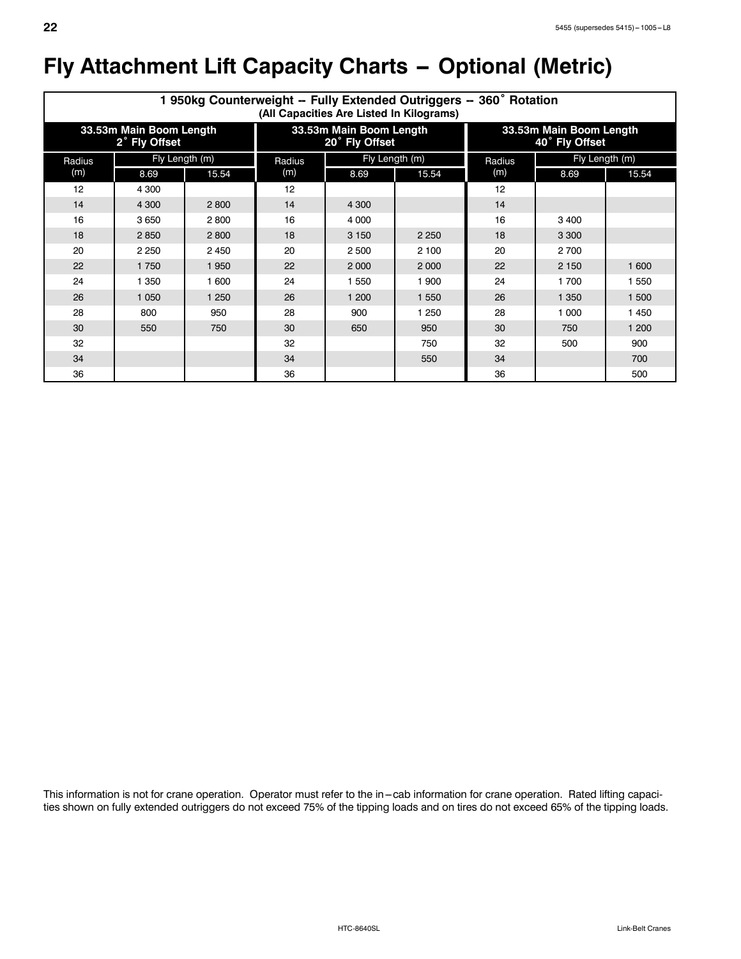# **Fly Attachment Lift Capacity Charts - Optional (Metric)**

|        | 1 950kg Counterweight - Fully Extended Outriggers - 360° Rotation<br>(All Capacities Are Listed In Kilograms) |         |        |                                           |         |        |                                           |       |  |  |  |  |  |
|--------|---------------------------------------------------------------------------------------------------------------|---------|--------|-------------------------------------------|---------|--------|-------------------------------------------|-------|--|--|--|--|--|
|        | 33.53m Main Boom Length<br>2° Fly Offset                                                                      |         |        | 33.53m Main Boom Length<br>20° Fly Offset |         |        | 33.53m Main Boom Length<br>40° Fly Offset |       |  |  |  |  |  |
| Radius | Fly Length (m)                                                                                                |         | Radius | Fly Length (m)                            |         | Radius | Fly Length (m)                            |       |  |  |  |  |  |
| (m)    | 8.69                                                                                                          | 15.54   | (m)    | 8.69                                      | 15.54   | (m)    | 8.69                                      | 15.54 |  |  |  |  |  |
| 12     | 4 3 0 0                                                                                                       |         | 12     |                                           |         | 12     |                                           |       |  |  |  |  |  |
| 14     | 4 300                                                                                                         | 2800    | 14     | 4 300                                     |         | 14     |                                           |       |  |  |  |  |  |
| 16     | 3650                                                                                                          | 2800    | 16     | 4 0 0 0                                   |         | 16     | 3 4 0 0                                   |       |  |  |  |  |  |
| 18     | 2850                                                                                                          | 2.800   | 18     | 3 1 5 0                                   | 2 2 5 0 | 18     | 3 3 0 0                                   |       |  |  |  |  |  |
| 20     | 2 2 5 0                                                                                                       | 2 4 5 0 | 20     | 2 500                                     | 2 100   | 20     | 2 700                                     |       |  |  |  |  |  |
| 22     | 1 750                                                                                                         | 1 9 5 0 | 22     | 2 0 0 0                                   | 2 0 0 0 | 22     | 2 1 5 0                                   | 1 600 |  |  |  |  |  |
| 24     | 1 350                                                                                                         | 600     | 24     | 1 550                                     | 1 900   | 24     | 1 700                                     | 1 550 |  |  |  |  |  |
| 26     | 1 050                                                                                                         | 1 2 5 0 | 26     | 1 200                                     | 1 550   | 26     | 1 3 5 0                                   | 1 500 |  |  |  |  |  |
| 28     | 800                                                                                                           | 950     | 28     | 900                                       | 1 250   | 28     | 1 000                                     | 1 450 |  |  |  |  |  |
| 30     | 550                                                                                                           | 750     | 30     | 650                                       | 950     | 30     | 750                                       | 1 200 |  |  |  |  |  |
| 32     |                                                                                                               |         | 32     |                                           | 750     | 32     | 500                                       | 900   |  |  |  |  |  |
| 34     |                                                                                                               |         | 34     |                                           | 550     | 34     |                                           | 700   |  |  |  |  |  |
| 36     |                                                                                                               |         | 36     |                                           |         | 36     |                                           | 500   |  |  |  |  |  |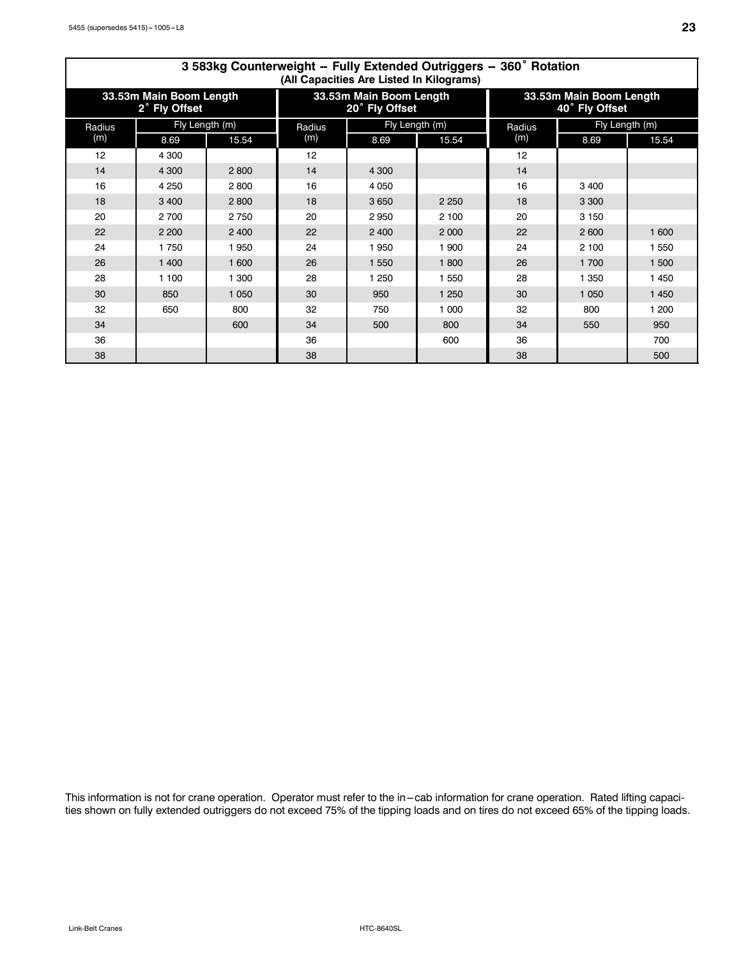| 3 583kg Counterweight -- Fully Extended Outriggers -- 360° Rotation<br>(All Capacities Are Listed In Kilograms) |                |         |                                           |                |         |                                           |                |         |
|-----------------------------------------------------------------------------------------------------------------|----------------|---------|-------------------------------------------|----------------|---------|-------------------------------------------|----------------|---------|
| 33.53m Main Boom Length<br>2° Fly Offset                                                                        |                |         | 33.53m Main Boom Length<br>20° Fly Offset |                |         | 33.53m Main Boom Length<br>40° Fly Offset |                |         |
| Radius<br>(m)                                                                                                   | Fly Length (m) |         | Radius                                    | Fly Length (m) |         | Radius                                    | Fly Length (m) |         |
|                                                                                                                 | 8.69           | 15.54   | (m)                                       | 8.69           | 15.54   | (m)                                       | 8.69           | 15.54   |
| 12                                                                                                              | 4 300          |         | 12                                        |                |         | 12                                        |                |         |
| 14                                                                                                              | 4 3 0 0        | 2800    | 14                                        | 4 3 0 0        |         | 14                                        |                |         |
| 16                                                                                                              | 4 250          | 2800    | 16                                        | 4 0 5 0        |         | 16                                        | 3 4 0 0        |         |
| 18                                                                                                              | 3 4 0 0        | 2800    | 18                                        | 3 6 5 0        | 2 2 5 0 | 18                                        | 3 3 0 0        |         |
| 20                                                                                                              | 2 700          | 2750    | 20                                        | 2950           | 2 100   | 20                                        | 3 1 5 0        |         |
| 22                                                                                                              | 2 2 0 0        | 2 4 0 0 | 22                                        | 2 4 0 0        | 2 0 0 0 | 22                                        | 2 600          | 1 600   |
| 24                                                                                                              | 1750           | 1950    | 24                                        | 1950           | 1 900   | 24                                        | 2 100          | 1 550   |
| 26                                                                                                              | 1 400          | 1 600   | 26                                        | 1 550          | 1800    | 26                                        | 1 700          | 1 500   |
| 28                                                                                                              | 1 100          | 1 300   | 28                                        | 1 250          | 1 550   | 28                                        | 1 3 5 0        | 1 4 5 0 |
| 30                                                                                                              | 850            | 1 0 5 0 | 30                                        | 950            | 1 2 5 0 | 30                                        | 1 0 5 0        | 1 4 5 0 |
| 32                                                                                                              | 650            | 800     | 32                                        | 750            | 1 000   | 32                                        | 800            | 1 200   |
| 34                                                                                                              |                | 600     | 34                                        | 500            | 800     | 34                                        | 550            | 950     |
| 36                                                                                                              |                |         | 36                                        |                | 600     | 36                                        |                | 700     |
| 38                                                                                                              |                |         | 38                                        |                |         | 38                                        |                | 500     |